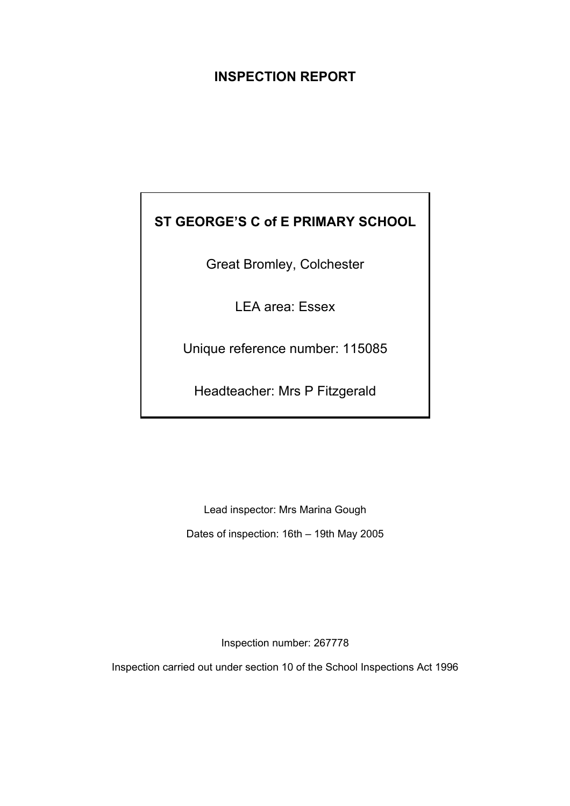## **INSPECTION REPORT**

# **ST GEORGE'S C of E PRIMARY SCHOOL**

Great Bromley, Colchester

LEA area: Essex

Unique reference number: 115085

Headteacher: Mrs P Fitzgerald

Lead inspector: Mrs Marina Gough Dates of inspection: 16th – 19th May 2005

Inspection number: 267778

Inspection carried out under section 10 of the School Inspections Act 1996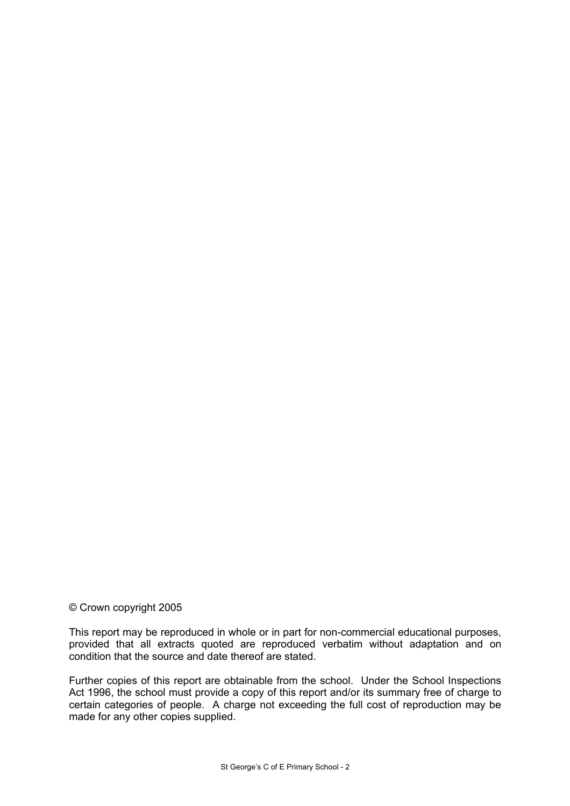#### © Crown copyright 2005

This report may be reproduced in whole or in part for non-commercial educational purposes, provided that all extracts quoted are reproduced verbatim without adaptation and on condition that the source and date thereof are stated.

Further copies of this report are obtainable from the school. Under the School Inspections Act 1996, the school must provide a copy of this report and/or its summary free of charge to certain categories of people. A charge not exceeding the full cost of reproduction may be made for any other copies supplied.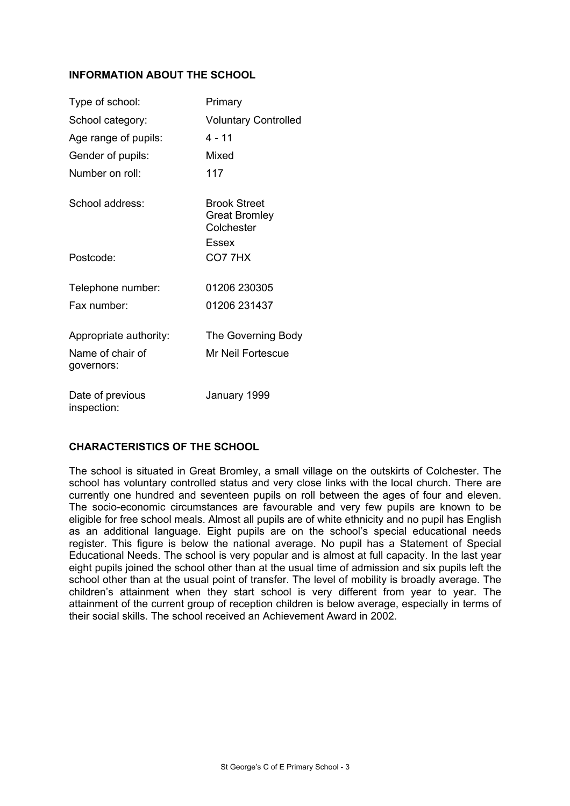## **INFORMATION ABOUT THE SCHOOL**

| Type of school:                 | Primary                                                     |
|---------------------------------|-------------------------------------------------------------|
| School category:                | <b>Voluntary Controlled</b>                                 |
| Age range of pupils:            | 4 - 11                                                      |
| Gender of pupils:               | Mixed                                                       |
| Number on roll:                 | 117                                                         |
| School address:                 | <b>Brook Street</b><br>Great Bromley<br>Colchester<br>Essex |
| Postcode:                       | CO77HX                                                      |
| Telephone number:               | 01206 230305                                                |
| Fax number:                     | 01206 231437                                                |
| Appropriate authority:          | The Governing Body                                          |
| Name of chair of<br>governors:  | Mr Neil Fortescue                                           |
| Date of previous<br>inspection: | January 1999                                                |

## **CHARACTERISTICS OF THE SCHOOL**

The school is situated in Great Bromley, a small village on the outskirts of Colchester. The school has voluntary controlled status and very close links with the local church. There are currently one hundred and seventeen pupils on roll between the ages of four and eleven. The socio-economic circumstances are favourable and very few pupils are known to be eligible for free school meals. Almost all pupils are of white ethnicity and no pupil has English as an additional language. Eight pupils are on the school's special educational needs register. This figure is below the national average. No pupil has a Statement of Special Educational Needs. The school is very popular and is almost at full capacity. In the last year eight pupils joined the school other than at the usual time of admission and six pupils left the school other than at the usual point of transfer. The level of mobility is broadly average. The children's attainment when they start school is very different from year to year. The attainment of the current group of reception children is below average, especially in terms of their social skills. The school received an Achievement Award in 2002.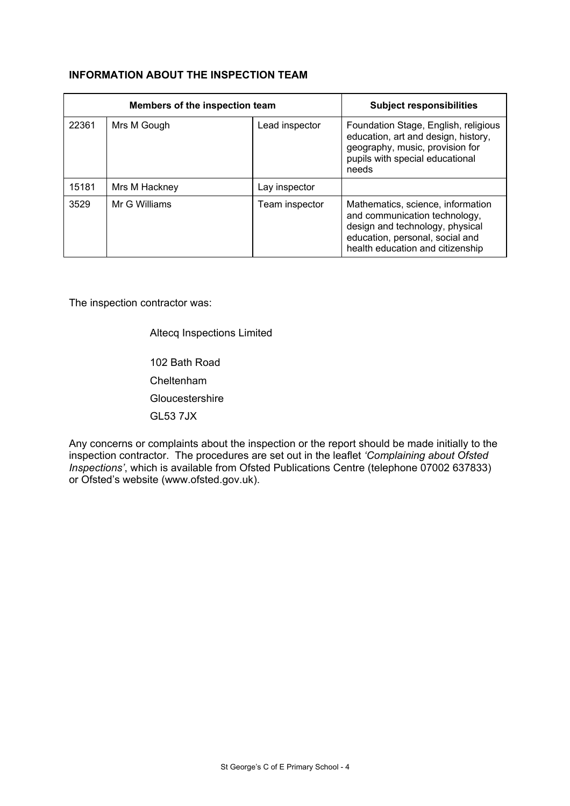## **INFORMATION ABOUT THE INSPECTION TEAM**

|       | Members of the inspection team | <b>Subject responsibilities</b> |                                                                                                                                                                              |
|-------|--------------------------------|---------------------------------|------------------------------------------------------------------------------------------------------------------------------------------------------------------------------|
| 22361 | Mrs M Gough                    | Lead inspector                  | Foundation Stage, English, religious<br>education, art and design, history,<br>geography, music, provision for<br>pupils with special educational<br>needs                   |
| 15181 | Mrs M Hackney                  | Lay inspector                   |                                                                                                                                                                              |
| 3529  | Mr G Williams                  | Team inspector                  | Mathematics, science, information<br>and communication technology,<br>design and technology, physical<br>education, personal, social and<br>health education and citizenship |

The inspection contractor was:

Altecq Inspections Limited

 102 Bath Road Cheltenham **Gloucestershire** GL53 7JX

Any concerns or complaints about the inspection or the report should be made initially to the inspection contractor. The procedures are set out in the leaflet *'Complaining about Ofsted Inspections'*, which is available from Ofsted Publications Centre (telephone 07002 637833) or Ofsted's website (www.ofsted.gov.uk).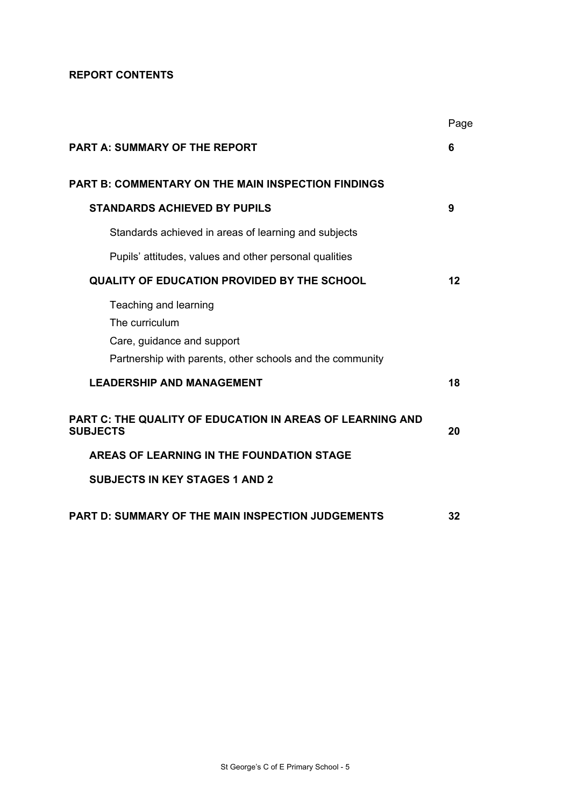## **REPORT CONTENTS**

|                                                                                                                                    | Page    |
|------------------------------------------------------------------------------------------------------------------------------------|---------|
| <b>PART A: SUMMARY OF THE REPORT</b>                                                                                               | 6       |
| <b>PART B: COMMENTARY ON THE MAIN INSPECTION FINDINGS</b>                                                                          |         |
| <b>STANDARDS ACHIEVED BY PUPILS</b>                                                                                                | 9       |
| Standards achieved in areas of learning and subjects                                                                               |         |
| Pupils' attitudes, values and other personal qualities                                                                             |         |
| <b>QUALITY OF EDUCATION PROVIDED BY THE SCHOOL</b>                                                                                 | $12 \,$ |
| Teaching and learning<br>The curriculum<br>Care, guidance and support<br>Partnership with parents, other schools and the community |         |
| <b>LEADERSHIP AND MANAGEMENT</b>                                                                                                   | 18      |
| <b>PART C: THE QUALITY OF EDUCATION IN AREAS OF LEARNING AND</b><br><b>SUBJECTS</b>                                                | 20      |
| AREAS OF LEARNING IN THE FOUNDATION STAGE                                                                                          |         |
| <b>SUBJECTS IN KEY STAGES 1 AND 2</b>                                                                                              |         |
| <b>PART D: SUMMARY OF THE MAIN INSPECTION JUDGEMENTS</b>                                                                           | 32      |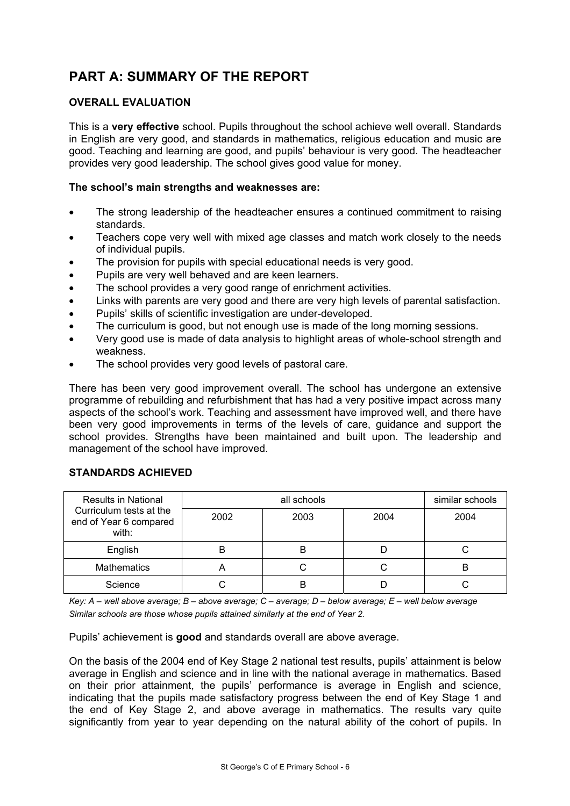# **PART A: SUMMARY OF THE REPORT**

## **OVERALL EVALUATION**

This is a **very effective** school. Pupils throughout the school achieve well overall. Standards in English are very good, and standards in mathematics, religious education and music are good. Teaching and learning are good, and pupils' behaviour is very good. The headteacher provides very good leadership. The school gives good value for money.

## **The school's main strengths and weaknesses are:**

- The strong leadership of the headteacher ensures a continued commitment to raising standards.
- Teachers cope very well with mixed age classes and match work closely to the needs of individual pupils.
- The provision for pupils with special educational needs is very good.
- Pupils are very well behaved and are keen learners.
- The school provides a very good range of enrichment activities.
- Links with parents are very good and there are very high levels of parental satisfaction.
- Pupils' skills of scientific investigation are under-developed.
- The curriculum is good, but not enough use is made of the long morning sessions.
- Very good use is made of data analysis to highlight areas of whole-school strength and weakness.
- The school provides very good levels of pastoral care.

There has been very good improvement overall. The school has undergone an extensive programme of rebuilding and refurbishment that has had a very positive impact across many aspects of the school's work. Teaching and assessment have improved well, and there have been very good improvements in terms of the levels of care, guidance and support the school provides. Strengths have been maintained and built upon. The leadership and management of the school have improved.

## **STANDARDS ACHIEVED**

| <b>Results in National</b>                                 |      | similar schools |      |      |
|------------------------------------------------------------|------|-----------------|------|------|
| Curriculum tests at the<br>end of Year 6 compared<br>with: | 2002 | 2003            | 2004 | 2004 |
| English                                                    | B    | B               |      |      |
| <b>Mathematics</b>                                         | A    |                 | U    | В    |
| Science                                                    |      |                 |      |      |

*Key: A – well above average; B – above average; C – average; D – below average; E – well below average Similar schools are those whose pupils attained similarly at the end of Year 2.* 

Pupils' achievement is **good** and standards overall are above average.

On the basis of the 2004 end of Key Stage 2 national test results, pupils' attainment is below average in English and science and in line with the national average in mathematics. Based on their prior attainment, the pupils' performance is average in English and science, indicating that the pupils made satisfactory progress between the end of Key Stage 1 and the end of Key Stage 2, and above average in mathematics. The results vary quite significantly from year to year depending on the natural ability of the cohort of pupils. In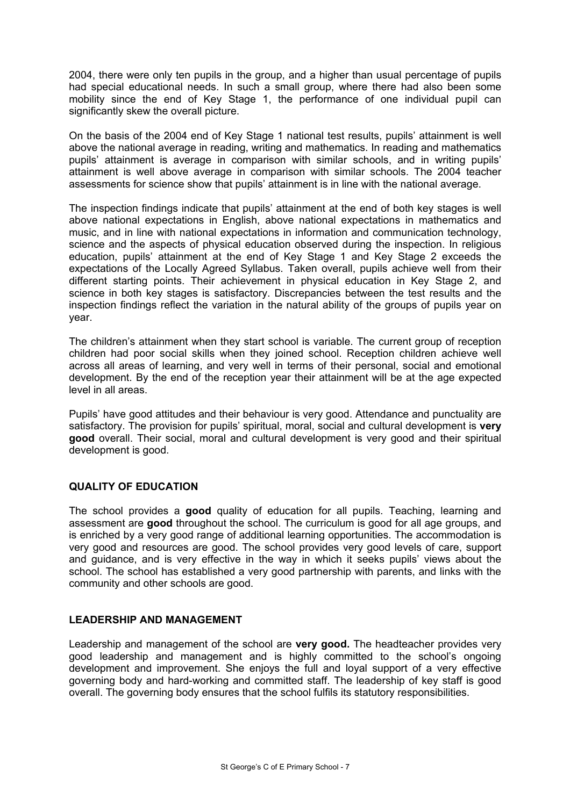2004, there were only ten pupils in the group, and a higher than usual percentage of pupils had special educational needs. In such a small group, where there had also been some mobility since the end of Key Stage 1, the performance of one individual pupil can significantly skew the overall picture.

On the basis of the 2004 end of Key Stage 1 national test results, pupils' attainment is well above the national average in reading, writing and mathematics. In reading and mathematics pupils' attainment is average in comparison with similar schools, and in writing pupils' attainment is well above average in comparison with similar schools. The 2004 teacher assessments for science show that pupils' attainment is in line with the national average.

The inspection findings indicate that pupils' attainment at the end of both key stages is well above national expectations in English, above national expectations in mathematics and music, and in line with national expectations in information and communication technology, science and the aspects of physical education observed during the inspection. In religious education, pupils' attainment at the end of Key Stage 1 and Key Stage 2 exceeds the expectations of the Locally Agreed Syllabus. Taken overall, pupils achieve well from their different starting points. Their achievement in physical education in Key Stage 2, and science in both key stages is satisfactory. Discrepancies between the test results and the inspection findings reflect the variation in the natural ability of the groups of pupils year on year.

The children's attainment when they start school is variable. The current group of reception children had poor social skills when they joined school. Reception children achieve well across all areas of learning, and very well in terms of their personal, social and emotional development. By the end of the reception year their attainment will be at the age expected level in all areas.

Pupils' have good attitudes and their behaviour is very good. Attendance and punctuality are satisfactory. The provision for pupils' spiritual, moral, social and cultural development is **very good** overall. Their social, moral and cultural development is very good and their spiritual development is good.

## **QUALITY OF EDUCATION**

The school provides a **good** quality of education for all pupils. Teaching, learning and assessment are **good** throughout the school. The curriculum is good for all age groups, and is enriched by a very good range of additional learning opportunities. The accommodation is very good and resources are good. The school provides very good levels of care, support and guidance, and is very effective in the way in which it seeks pupils' views about the school. The school has established a very good partnership with parents, and links with the community and other schools are good.

## **LEADERSHIP AND MANAGEMENT**

Leadership and management of the school are **very good.** The headteacher provides very good leadership and management and is highly committed to the school's ongoing development and improvement. She enjoys the full and loyal support of a very effective governing body and hard-working and committed staff. The leadership of key staff is good overall. The governing body ensures that the school fulfils its statutory responsibilities.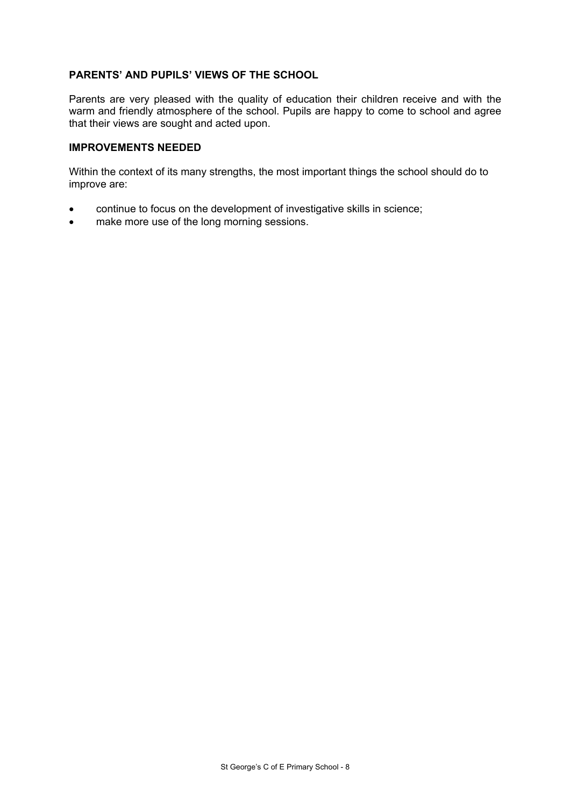#### **PARENTS' AND PUPILS' VIEWS OF THE SCHOOL**

Parents are very pleased with the quality of education their children receive and with the warm and friendly atmosphere of the school. Pupils are happy to come to school and agree that their views are sought and acted upon.

#### **IMPROVEMENTS NEEDED**

Within the context of its many strengths, the most important things the school should do to improve are:

- continue to focus on the development of investigative skills in science;
- make more use of the long morning sessions.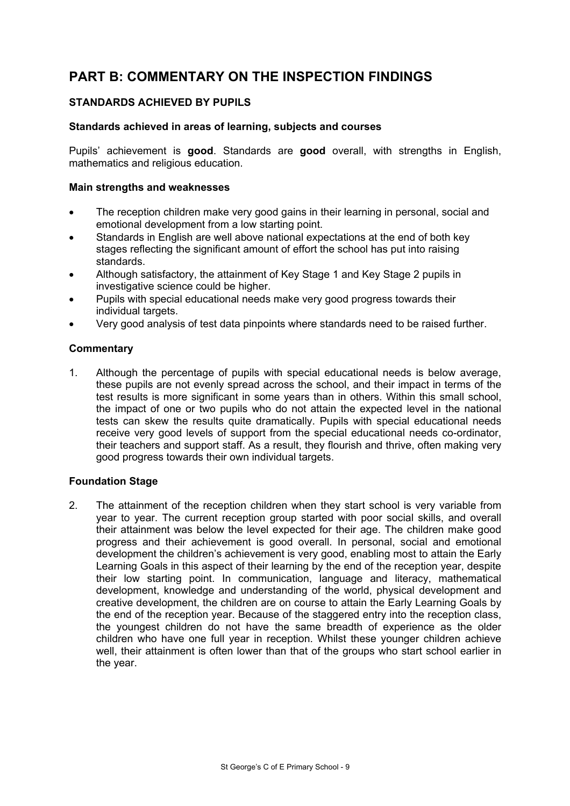## **PART B: COMMENTARY ON THE INSPECTION FINDINGS**

## **STANDARDS ACHIEVED BY PUPILS**

#### **Standards achieved in areas of learning, subjects and courses**

Pupils' achievement is **good**. Standards are **good** overall, with strengths in English, mathematics and religious education.

#### **Main strengths and weaknesses**

- The reception children make very good gains in their learning in personal, social and emotional development from a low starting point.
- Standards in English are well above national expectations at the end of both key stages reflecting the significant amount of effort the school has put into raising standards.
- Although satisfactory, the attainment of Key Stage 1 and Key Stage 2 pupils in investigative science could be higher.
- Pupils with special educational needs make very good progress towards their individual targets.
- Very good analysis of test data pinpoints where standards need to be raised further.

#### **Commentary**

1. Although the percentage of pupils with special educational needs is below average, these pupils are not evenly spread across the school, and their impact in terms of the test results is more significant in some years than in others. Within this small school, the impact of one or two pupils who do not attain the expected level in the national tests can skew the results quite dramatically. Pupils with special educational needs receive very good levels of support from the special educational needs co-ordinator, their teachers and support staff. As a result, they flourish and thrive, often making very good progress towards their own individual targets.

## **Foundation Stage**

2. The attainment of the reception children when they start school is very variable from year to year. The current reception group started with poor social skills, and overall their attainment was below the level expected for their age. The children make good progress and their achievement is good overall. In personal, social and emotional development the children's achievement is very good, enabling most to attain the Early Learning Goals in this aspect of their learning by the end of the reception year, despite their low starting point. In communication, language and literacy, mathematical development, knowledge and understanding of the world, physical development and creative development, the children are on course to attain the Early Learning Goals by the end of the reception year. Because of the staggered entry into the reception class, the youngest children do not have the same breadth of experience as the older children who have one full year in reception. Whilst these younger children achieve well, their attainment is often lower than that of the groups who start school earlier in the year.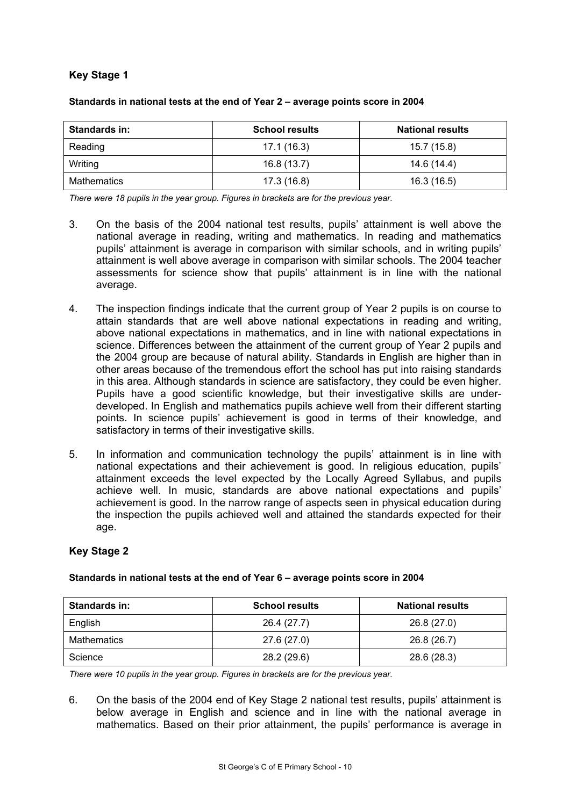## **Key Stage 1**

| Standards in:      | <b>School results</b> | <b>National results</b> |
|--------------------|-----------------------|-------------------------|
| Reading            | 17.1 (16.3)           | 15.7 (15.8)             |
| Writing            | 16.8(13.7)            | 14.6 (14.4)             |
| <b>Mathematics</b> | 17.3 (16.8)           | 16.3(16.5)              |

#### **Standards in national tests at the end of Year 2 – average points score in 2004**

*There were 18 pupils in the year group. Figures in brackets are for the previous year.* 

- 3. On the basis of the 2004 national test results, pupils' attainment is well above the national average in reading, writing and mathematics. In reading and mathematics pupils' attainment is average in comparison with similar schools, and in writing pupils' attainment is well above average in comparison with similar schools. The 2004 teacher assessments for science show that pupils' attainment is in line with the national average.
- 4. The inspection findings indicate that the current group of Year 2 pupils is on course to attain standards that are well above national expectations in reading and writing, above national expectations in mathematics, and in line with national expectations in science. Differences between the attainment of the current group of Year 2 pupils and the 2004 group are because of natural ability. Standards in English are higher than in other areas because of the tremendous effort the school has put into raising standards in this area. Although standards in science are satisfactory, they could be even higher. Pupils have a good scientific knowledge, but their investigative skills are underdeveloped. In English and mathematics pupils achieve well from their different starting points. In science pupils' achievement is good in terms of their knowledge, and satisfactory in terms of their investigative skills.
- 5. In information and communication technology the pupils' attainment is in line with national expectations and their achievement is good. In religious education, pupils' attainment exceeds the level expected by the Locally Agreed Syllabus, and pupils achieve well. In music, standards are above national expectations and pupils' achievement is good. In the narrow range of aspects seen in physical education during the inspection the pupils achieved well and attained the standards expected for their age.

## **Key Stage 2**

| <b>Standards in:</b> | <b>School results</b> | <b>National results</b> |
|----------------------|-----------------------|-------------------------|
| English              | 26.4 (27.7)           | 26.8(27.0)              |
| Mathematics          | 27.6 (27.0)           | 26.8 (26.7)             |
| Science              | 28.2 (29.6)           | 28.6 (28.3)             |

#### **Standards in national tests at the end of Year 6 – average points score in 2004**

*There were 10 pupils in the year group. Figures in brackets are for the previous year.* 

6. On the basis of the 2004 end of Key Stage 2 national test results, pupils' attainment is below average in English and science and in line with the national average in mathematics. Based on their prior attainment, the pupils' performance is average in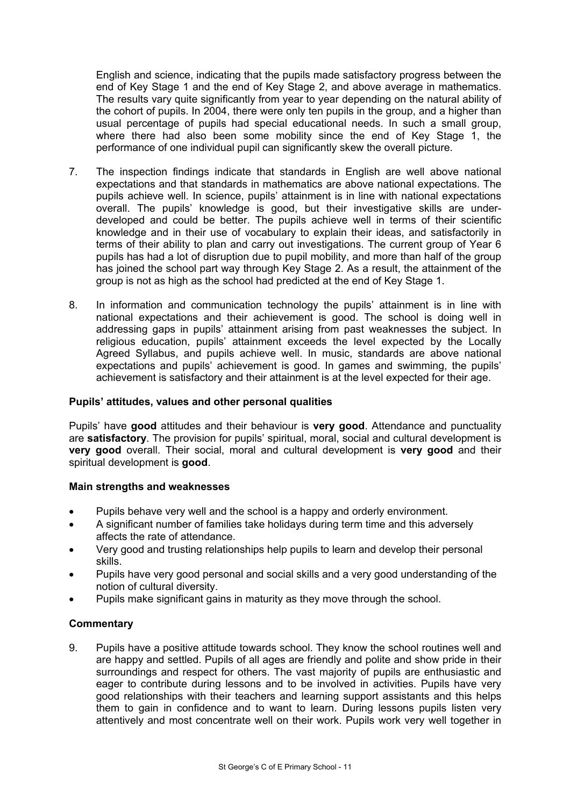English and science, indicating that the pupils made satisfactory progress between the end of Key Stage 1 and the end of Key Stage 2, and above average in mathematics. The results vary quite significantly from year to year depending on the natural ability of the cohort of pupils. In 2004, there were only ten pupils in the group, and a higher than usual percentage of pupils had special educational needs. In such a small group, where there had also been some mobility since the end of Key Stage 1, the performance of one individual pupil can significantly skew the overall picture.

- 7. The inspection findings indicate that standards in English are well above national expectations and that standards in mathematics are above national expectations. The pupils achieve well. In science, pupils' attainment is in line with national expectations overall. The pupils' knowledge is good, but their investigative skills are underdeveloped and could be better. The pupils achieve well in terms of their scientific knowledge and in their use of vocabulary to explain their ideas, and satisfactorily in terms of their ability to plan and carry out investigations. The current group of Year 6 pupils has had a lot of disruption due to pupil mobility, and more than half of the group has joined the school part way through Key Stage 2. As a result, the attainment of the group is not as high as the school had predicted at the end of Key Stage 1.
- 8. In information and communication technology the pupils' attainment is in line with national expectations and their achievement is good. The school is doing well in addressing gaps in pupils' attainment arising from past weaknesses the subject. In religious education, pupils' attainment exceeds the level expected by the Locally Agreed Syllabus, and pupils achieve well. In music, standards are above national expectations and pupils' achievement is good. In games and swimming, the pupils' achievement is satisfactory and their attainment is at the level expected for their age.

## **Pupils' attitudes, values and other personal qualities**

Pupils' have **good** attitudes and their behaviour is **very good**. Attendance and punctuality are **satisfactory**. The provision for pupils' spiritual, moral, social and cultural development is **very good** overall. Their social, moral and cultural development is **very good** and their spiritual development is **good**.

#### **Main strengths and weaknesses**

- Pupils behave very well and the school is a happy and orderly environment.
- A significant number of families take holidays during term time and this adversely affects the rate of attendance.
- Very good and trusting relationships help pupils to learn and develop their personal skills.
- Pupils have very good personal and social skills and a very good understanding of the notion of cultural diversity.
- Pupils make significant gains in maturity as they move through the school.

## **Commentary**

9. Pupils have a positive attitude towards school. They know the school routines well and are happy and settled. Pupils of all ages are friendly and polite and show pride in their surroundings and respect for others. The vast majority of pupils are enthusiastic and eager to contribute during lessons and to be involved in activities. Pupils have very good relationships with their teachers and learning support assistants and this helps them to gain in confidence and to want to learn. During lessons pupils listen very attentively and most concentrate well on their work. Pupils work very well together in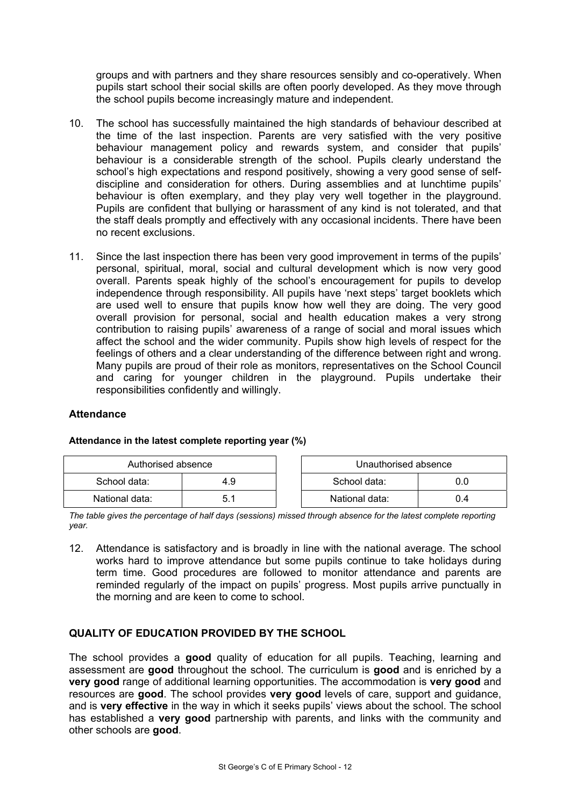groups and with partners and they share resources sensibly and co-operatively. When pupils start school their social skills are often poorly developed. As they move through the school pupils become increasingly mature and independent.

- 10. The school has successfully maintained the high standards of behaviour described at the time of the last inspection. Parents are very satisfied with the very positive behaviour management policy and rewards system, and consider that pupils' behaviour is a considerable strength of the school. Pupils clearly understand the school's high expectations and respond positively, showing a very good sense of selfdiscipline and consideration for others. During assemblies and at lunchtime pupils' behaviour is often exemplary, and they play very well together in the playground. Pupils are confident that bullying or harassment of any kind is not tolerated, and that the staff deals promptly and effectively with any occasional incidents. There have been no recent exclusions.
- 11. Since the last inspection there has been very good improvement in terms of the pupils' personal, spiritual, moral, social and cultural development which is now very good overall. Parents speak highly of the school's encouragement for pupils to develop independence through responsibility. All pupils have 'next steps' target booklets which are used well to ensure that pupils know how well they are doing. The very good overall provision for personal, social and health education makes a very strong contribution to raising pupils' awareness of a range of social and moral issues which affect the school and the wider community. Pupils show high levels of respect for the feelings of others and a clear understanding of the difference between right and wrong. Many pupils are proud of their role as monitors, representatives on the School Council and caring for younger children in the playground. Pupils undertake their responsibilities confidently and willingly.

## **Attendance**

| Authorised absence |     | Unauthorised absence |     |
|--------------------|-----|----------------------|-----|
| School data:       | 4.9 | School data:         | 0.0 |
| National data:     | 5.1 | National data:       | 0.4 |

## **Attendance in the latest complete reporting year (%)**

*The table gives the percentage of half days (sessions) missed through absence for the latest complete reporting year.* 

12. Attendance is satisfactory and is broadly in line with the national average. The school works hard to improve attendance but some pupils continue to take holidays during term time. Good procedures are followed to monitor attendance and parents are reminded regularly of the impact on pupils' progress. Most pupils arrive punctually in the morning and are keen to come to school.

## **QUALITY OF EDUCATION PROVIDED BY THE SCHOOL**

The school provides a **good** quality of education for all pupils. Teaching, learning and assessment are **good** throughout the school. The curriculum is **good** and is enriched by a **very good** range of additional learning opportunities. The accommodation is **very good** and resources are **good**. The school provides **very good** levels of care, support and guidance, and is **very effective** in the way in which it seeks pupils' views about the school. The school has established a **very good** partnership with parents, and links with the community and other schools are **good**.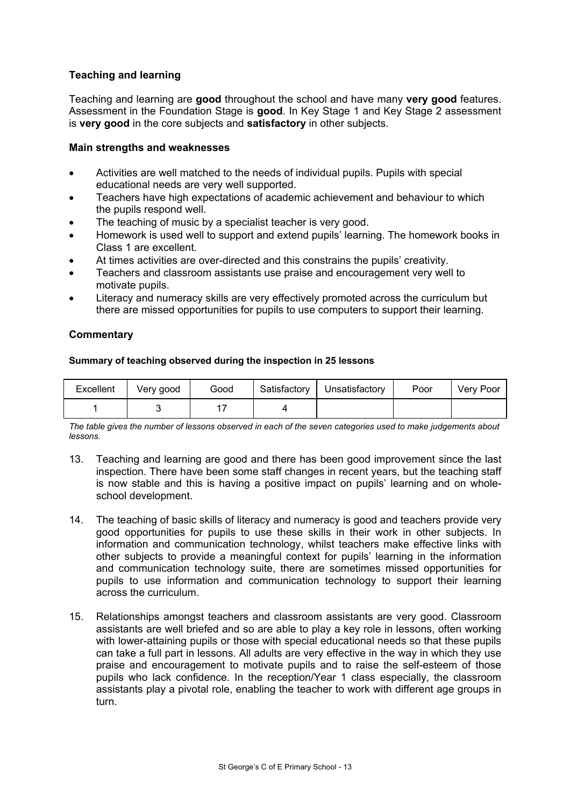## **Teaching and learning**

Teaching and learning are **good** throughout the school and have many **very good** features. Assessment in the Foundation Stage is **good**. In Key Stage 1 and Key Stage 2 assessment is **very good** in the core subjects and **satisfactory** in other subjects.

## **Main strengths and weaknesses**

- Activities are well matched to the needs of individual pupils. Pupils with special educational needs are very well supported.
- Teachers have high expectations of academic achievement and behaviour to which the pupils respond well.
- The teaching of music by a specialist teacher is very good.
- Homework is used well to support and extend pupils' learning. The homework books in Class 1 are excellent.
- At times activities are over-directed and this constrains the pupils' creativity.
- Teachers and classroom assistants use praise and encouragement very well to motivate pupils.
- Literacy and numeracy skills are very effectively promoted across the curriculum but there are missed opportunities for pupils to use computers to support their learning.

#### **Commentary**

#### **Summary of teaching observed during the inspection in 25 lessons**

| Excellent | Very good | Good | Satisfactory | Unsatisfactory | Poor | Very Poor |
|-----------|-----------|------|--------------|----------------|------|-----------|
|           |           |      |              |                |      |           |

*The table gives the number of lessons observed in each of the seven categories used to make judgements about lessons.* 

- 13. Teaching and learning are good and there has been good improvement since the last inspection. There have been some staff changes in recent years, but the teaching staff is now stable and this is having a positive impact on pupils' learning and on wholeschool development.
- 14. The teaching of basic skills of literacy and numeracy is good and teachers provide very good opportunities for pupils to use these skills in their work in other subjects. In information and communication technology, whilst teachers make effective links with other subjects to provide a meaningful context for pupils' learning in the information and communication technology suite, there are sometimes missed opportunities for pupils to use information and communication technology to support their learning across the curriculum.
- 15. Relationships amongst teachers and classroom assistants are very good. Classroom assistants are well briefed and so are able to play a key role in lessons, often working with lower-attaining pupils or those with special educational needs so that these pupils can take a full part in lessons. All adults are very effective in the way in which they use praise and encouragement to motivate pupils and to raise the self-esteem of those pupils who lack confidence. In the reception/Year 1 class especially, the classroom assistants play a pivotal role, enabling the teacher to work with different age groups in turn.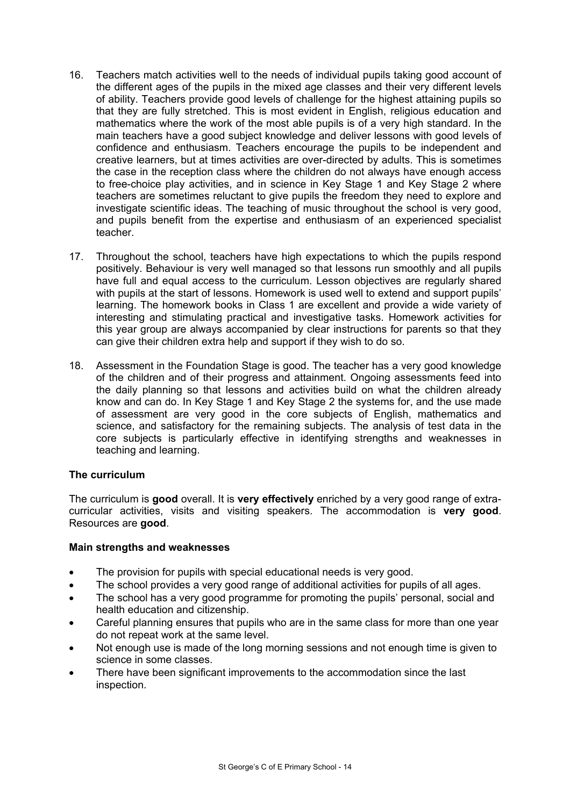- 16. Teachers match activities well to the needs of individual pupils taking good account of the different ages of the pupils in the mixed age classes and their very different levels of ability. Teachers provide good levels of challenge for the highest attaining pupils so that they are fully stretched. This is most evident in English, religious education and mathematics where the work of the most able pupils is of a very high standard. In the main teachers have a good subject knowledge and deliver lessons with good levels of confidence and enthusiasm. Teachers encourage the pupils to be independent and creative learners, but at times activities are over-directed by adults. This is sometimes the case in the reception class where the children do not always have enough access to free-choice play activities, and in science in Key Stage 1 and Key Stage 2 where teachers are sometimes reluctant to give pupils the freedom they need to explore and investigate scientific ideas. The teaching of music throughout the school is very good, and pupils benefit from the expertise and enthusiasm of an experienced specialist teacher.
- 17. Throughout the school, teachers have high expectations to which the pupils respond positively. Behaviour is very well managed so that lessons run smoothly and all pupils have full and equal access to the curriculum. Lesson objectives are regularly shared with pupils at the start of lessons. Homework is used well to extend and support pupils' learning. The homework books in Class 1 are excellent and provide a wide variety of interesting and stimulating practical and investigative tasks. Homework activities for this year group are always accompanied by clear instructions for parents so that they can give their children extra help and support if they wish to do so.
- 18. Assessment in the Foundation Stage is good. The teacher has a very good knowledge of the children and of their progress and attainment. Ongoing assessments feed into the daily planning so that lessons and activities build on what the children already know and can do. In Key Stage 1 and Key Stage 2 the systems for, and the use made of assessment are very good in the core subjects of English, mathematics and science, and satisfactory for the remaining subjects. The analysis of test data in the core subjects is particularly effective in identifying strengths and weaknesses in teaching and learning.

## **The curriculum**

The curriculum is **good** overall. It is **very effectively** enriched by a very good range of extracurricular activities, visits and visiting speakers. The accommodation is **very good**. Resources are **good**.

## **Main strengths and weaknesses**

- The provision for pupils with special educational needs is very good.
- The school provides a very good range of additional activities for pupils of all ages.
- The school has a very good programme for promoting the pupils' personal, social and health education and citizenship.
- Careful planning ensures that pupils who are in the same class for more than one year do not repeat work at the same level.
- Not enough use is made of the long morning sessions and not enough time is given to science in some classes.
- There have been significant improvements to the accommodation since the last inspection.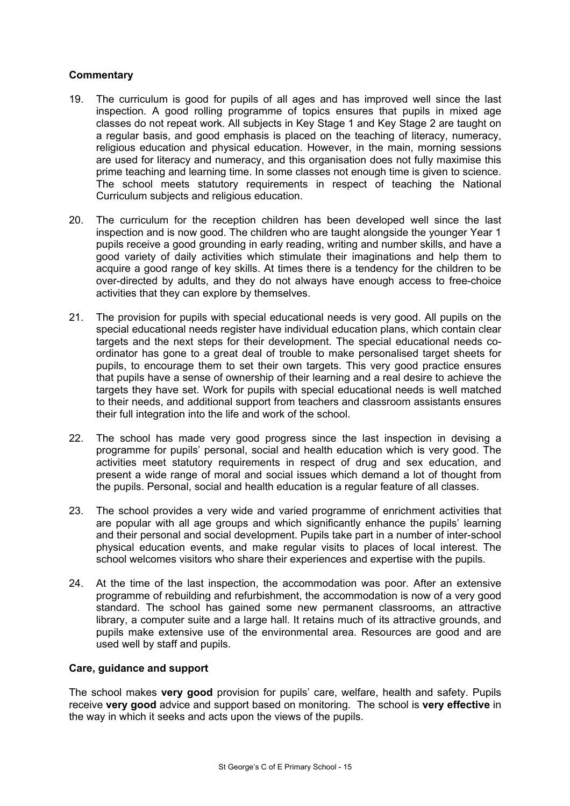## **Commentary**

- 19. The curriculum is good for pupils of all ages and has improved well since the last inspection. A good rolling programme of topics ensures that pupils in mixed age classes do not repeat work. All subjects in Key Stage 1 and Key Stage 2 are taught on a regular basis, and good emphasis is placed on the teaching of literacy, numeracy, religious education and physical education. However, in the main, morning sessions are used for literacy and numeracy, and this organisation does not fully maximise this prime teaching and learning time. In some classes not enough time is given to science. The school meets statutory requirements in respect of teaching the National Curriculum subjects and religious education.
- 20. The curriculum for the reception children has been developed well since the last inspection and is now good. The children who are taught alongside the younger Year 1 pupils receive a good grounding in early reading, writing and number skills, and have a good variety of daily activities which stimulate their imaginations and help them to acquire a good range of key skills. At times there is a tendency for the children to be over-directed by adults, and they do not always have enough access to free-choice activities that they can explore by themselves.
- 21. The provision for pupils with special educational needs is very good. All pupils on the special educational needs register have individual education plans, which contain clear targets and the next steps for their development. The special educational needs coordinator has gone to a great deal of trouble to make personalised target sheets for pupils, to encourage them to set their own targets. This very good practice ensures that pupils have a sense of ownership of their learning and a real desire to achieve the targets they have set. Work for pupils with special educational needs is well matched to their needs, and additional support from teachers and classroom assistants ensures their full integration into the life and work of the school.
- 22. The school has made very good progress since the last inspection in devising a programme for pupils' personal, social and health education which is very good. The activities meet statutory requirements in respect of drug and sex education, and present a wide range of moral and social issues which demand a lot of thought from the pupils. Personal, social and health education is a regular feature of all classes.
- 23. The school provides a very wide and varied programme of enrichment activities that are popular with all age groups and which significantly enhance the pupils' learning and their personal and social development. Pupils take part in a number of inter-school physical education events, and make regular visits to places of local interest. The school welcomes visitors who share their experiences and expertise with the pupils.
- 24. At the time of the last inspection, the accommodation was poor. After an extensive programme of rebuilding and refurbishment, the accommodation is now of a very good standard. The school has gained some new permanent classrooms, an attractive library, a computer suite and a large hall. It retains much of its attractive grounds, and pupils make extensive use of the environmental area. Resources are good and are used well by staff and pupils.

#### **Care, guidance and support**

The school makes **very good** provision for pupils' care, welfare, health and safety. Pupils receive **very good** advice and support based on monitoring. The school is **very effective** in the way in which it seeks and acts upon the views of the pupils.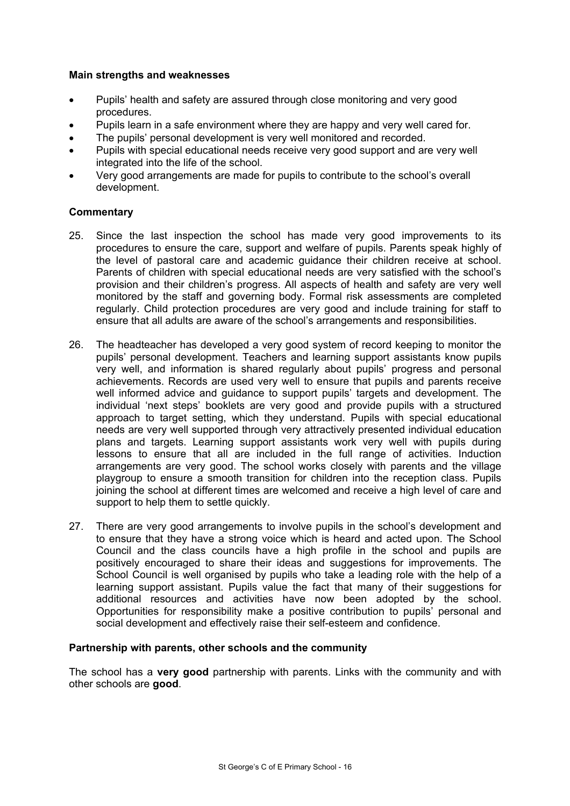#### **Main strengths and weaknesses**

- Pupils' health and safety are assured through close monitoring and very good procedures.
- Pupils learn in a safe environment where they are happy and very well cared for.
- The pupils' personal development is very well monitored and recorded.
- Pupils with special educational needs receive very good support and are very well integrated into the life of the school.
- Very good arrangements are made for pupils to contribute to the school's overall development.

## **Commentary**

- 25. Since the last inspection the school has made very good improvements to its procedures to ensure the care, support and welfare of pupils. Parents speak highly of the level of pastoral care and academic guidance their children receive at school. Parents of children with special educational needs are very satisfied with the school's provision and their children's progress. All aspects of health and safety are very well monitored by the staff and governing body. Formal risk assessments are completed regularly. Child protection procedures are very good and include training for staff to ensure that all adults are aware of the school's arrangements and responsibilities.
- 26. The headteacher has developed a very good system of record keeping to monitor the pupils' personal development. Teachers and learning support assistants know pupils very well, and information is shared regularly about pupils' progress and personal achievements. Records are used very well to ensure that pupils and parents receive well informed advice and guidance to support pupils' targets and development. The individual 'next steps' booklets are very good and provide pupils with a structured approach to target setting, which they understand. Pupils with special educational needs are very well supported through very attractively presented individual education plans and targets. Learning support assistants work very well with pupils during lessons to ensure that all are included in the full range of activities. Induction arrangements are very good. The school works closely with parents and the village playgroup to ensure a smooth transition for children into the reception class. Pupils joining the school at different times are welcomed and receive a high level of care and support to help them to settle quickly.
- 27. There are very good arrangements to involve pupils in the school's development and to ensure that they have a strong voice which is heard and acted upon. The School Council and the class councils have a high profile in the school and pupils are positively encouraged to share their ideas and suggestions for improvements. The School Council is well organised by pupils who take a leading role with the help of a learning support assistant. Pupils value the fact that many of their suggestions for additional resources and activities have now been adopted by the school. Opportunities for responsibility make a positive contribution to pupils' personal and social development and effectively raise their self-esteem and confidence.

## **Partnership with parents, other schools and the community**

The school has a **very good** partnership with parents. Links with the community and with other schools are **good**.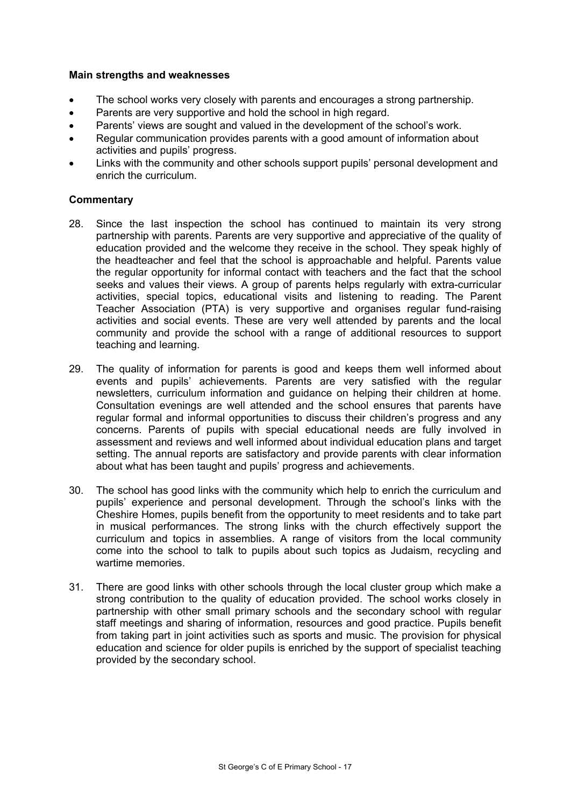#### **Main strengths and weaknesses**

- The school works very closely with parents and encourages a strong partnership.
- Parents are very supportive and hold the school in high regard.
- Parents' views are sought and valued in the development of the school's work.
- Regular communication provides parents with a good amount of information about activities and pupils' progress.
- Links with the community and other schools support pupils' personal development and enrich the curriculum.

- 28. Since the last inspection the school has continued to maintain its very strong partnership with parents. Parents are very supportive and appreciative of the quality of education provided and the welcome they receive in the school. They speak highly of the headteacher and feel that the school is approachable and helpful. Parents value the regular opportunity for informal contact with teachers and the fact that the school seeks and values their views. A group of parents helps regularly with extra-curricular activities, special topics, educational visits and listening to reading. The Parent Teacher Association (PTA) is very supportive and organises regular fund-raising activities and social events. These are very well attended by parents and the local community and provide the school with a range of additional resources to support teaching and learning.
- 29. The quality of information for parents is good and keeps them well informed about events and pupils' achievements. Parents are very satisfied with the regular newsletters, curriculum information and guidance on helping their children at home. Consultation evenings are well attended and the school ensures that parents have regular formal and informal opportunities to discuss their children's progress and any concerns. Parents of pupils with special educational needs are fully involved in assessment and reviews and well informed about individual education plans and target setting. The annual reports are satisfactory and provide parents with clear information about what has been taught and pupils' progress and achievements.
- 30. The school has good links with the community which help to enrich the curriculum and pupils' experience and personal development. Through the school's links with the Cheshire Homes, pupils benefit from the opportunity to meet residents and to take part in musical performances. The strong links with the church effectively support the curriculum and topics in assemblies. A range of visitors from the local community come into the school to talk to pupils about such topics as Judaism, recycling and wartime memories.
- 31. There are good links with other schools through the local cluster group which make a strong contribution to the quality of education provided. The school works closely in partnership with other small primary schools and the secondary school with regular staff meetings and sharing of information, resources and good practice. Pupils benefit from taking part in joint activities such as sports and music. The provision for physical education and science for older pupils is enriched by the support of specialist teaching provided by the secondary school.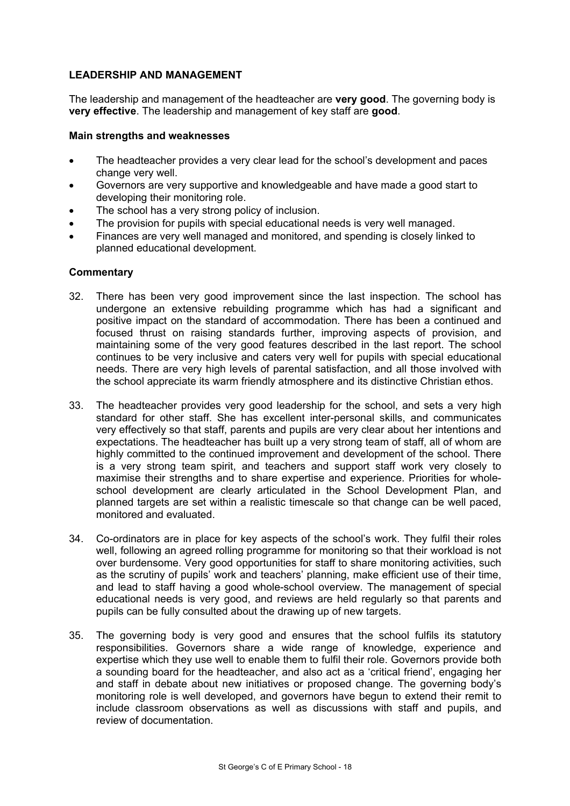## **LEADERSHIP AND MANAGEMENT**

The leadership and management of the headteacher are **very good**. The governing body is **very effective**. The leadership and management of key staff are **good**.

#### **Main strengths and weaknesses**

- The headteacher provides a very clear lead for the school's development and paces change very well.
- Governors are very supportive and knowledgeable and have made a good start to developing their monitoring role.
- The school has a very strong policy of inclusion.
- The provision for pupils with special educational needs is very well managed.
- Finances are very well managed and monitored, and spending is closely linked to planned educational development.

- 32. There has been very good improvement since the last inspection. The school has undergone an extensive rebuilding programme which has had a significant and positive impact on the standard of accommodation. There has been a continued and focused thrust on raising standards further, improving aspects of provision, and maintaining some of the very good features described in the last report. The school continues to be very inclusive and caters very well for pupils with special educational needs. There are very high levels of parental satisfaction, and all those involved with the school appreciate its warm friendly atmosphere and its distinctive Christian ethos.
- 33. The headteacher provides very good leadership for the school, and sets a very high standard for other staff. She has excellent inter-personal skills, and communicates very effectively so that staff, parents and pupils are very clear about her intentions and expectations. The headteacher has built up a very strong team of staff, all of whom are highly committed to the continued improvement and development of the school. There is a very strong team spirit, and teachers and support staff work very closely to maximise their strengths and to share expertise and experience. Priorities for wholeschool development are clearly articulated in the School Development Plan, and planned targets are set within a realistic timescale so that change can be well paced, monitored and evaluated.
- 34. Co-ordinators are in place for key aspects of the school's work. They fulfil their roles well, following an agreed rolling programme for monitoring so that their workload is not over burdensome. Very good opportunities for staff to share monitoring activities, such as the scrutiny of pupils' work and teachers' planning, make efficient use of their time, and lead to staff having a good whole-school overview. The management of special educational needs is very good, and reviews are held regularly so that parents and pupils can be fully consulted about the drawing up of new targets.
- 35. The governing body is very good and ensures that the school fulfils its statutory responsibilities. Governors share a wide range of knowledge, experience and expertise which they use well to enable them to fulfil their role. Governors provide both a sounding board for the headteacher, and also act as a 'critical friend', engaging her and staff in debate about new initiatives or proposed change. The governing body's monitoring role is well developed, and governors have begun to extend their remit to include classroom observations as well as discussions with staff and pupils, and review of documentation.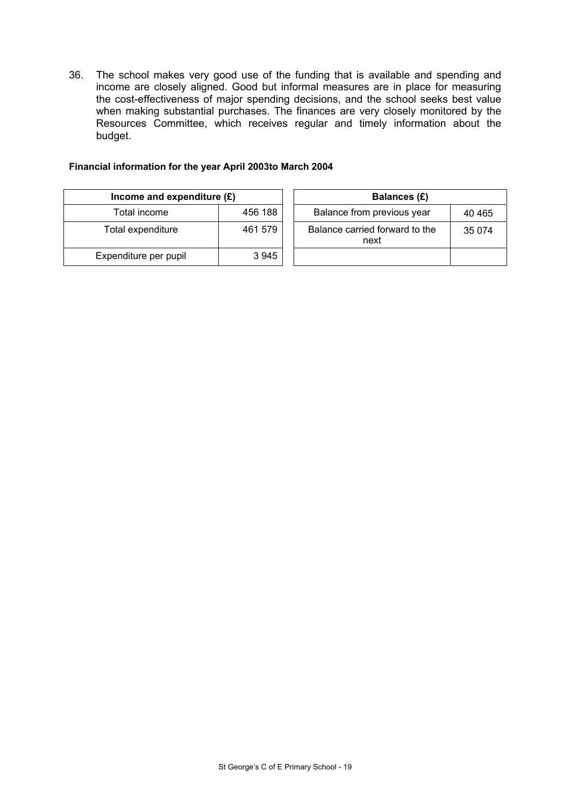36. The school makes very good use of the funding that is available and spending and income are closely aligned. Good but informal measures are in place for measuring the cost-effectiveness of major spending decisions, and the school seeks best value when making substantial purchases. The finances are very closely monitored by the Resources Committee, which receives regular and timely information about the budget.

#### **Financial information for the year April 2003to March 2004**

| Income and expenditure $(E)$ |         | Balances (£)                           |
|------------------------------|---------|----------------------------------------|
| Total income                 | 456 188 | Balance from previous year             |
| Total expenditure            | 461 579 | Balance carried forward to the<br>next |
| Expenditure per pupil        | 3945    |                                        |

|                    | ncome and expenditure $(E)$<br>Balances (£) |  |                                        |         |
|--------------------|---------------------------------------------|--|----------------------------------------|---------|
| Total income       | 456 188                                     |  | Balance from previous year             | 40 4 65 |
| tal expenditure    | 461 579                                     |  | Balance carried forward to the<br>next | 35 0 74 |
| enditure per pupil | 3945                                        |  |                                        |         |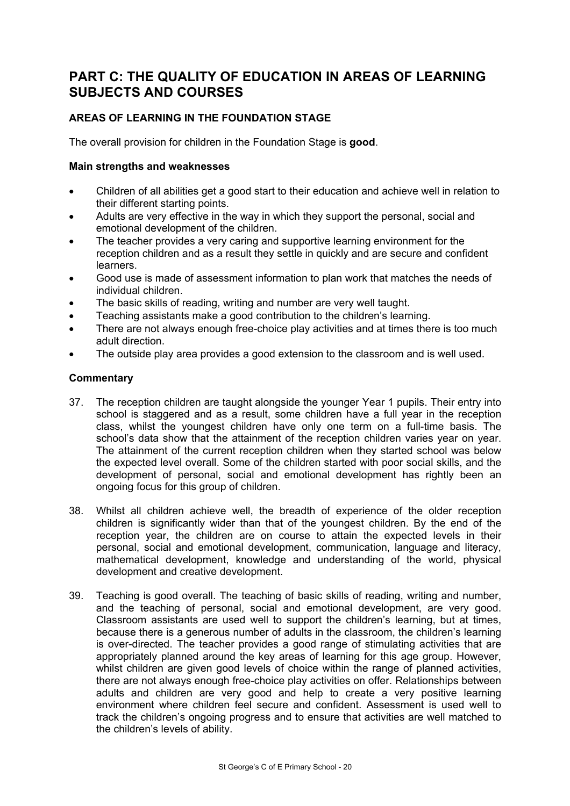## **PART C: THE QUALITY OF EDUCATION IN AREAS OF LEARNING SUBJECTS AND COURSES**

## **AREAS OF LEARNING IN THE FOUNDATION STAGE**

The overall provision for children in the Foundation Stage is **good**.

#### **Main strengths and weaknesses**

- Children of all abilities get a good start to their education and achieve well in relation to their different starting points.
- Adults are very effective in the way in which they support the personal, social and emotional development of the children.
- The teacher provides a very caring and supportive learning environment for the reception children and as a result they settle in quickly and are secure and confident learners.
- Good use is made of assessment information to plan work that matches the needs of individual children.
- The basic skills of reading, writing and number are very well taught.
- Teaching assistants make a good contribution to the children's learning.
- There are not always enough free-choice play activities and at times there is too much adult direction.
- The outside play area provides a good extension to the classroom and is well used.

- 37. The reception children are taught alongside the younger Year 1 pupils. Their entry into school is staggered and as a result, some children have a full year in the reception class, whilst the youngest children have only one term on a full-time basis. The school's data show that the attainment of the reception children varies year on year. The attainment of the current reception children when they started school was below the expected level overall. Some of the children started with poor social skills, and the development of personal, social and emotional development has rightly been an ongoing focus for this group of children.
- 38. Whilst all children achieve well, the breadth of experience of the older reception children is significantly wider than that of the youngest children. By the end of the reception year, the children are on course to attain the expected levels in their personal, social and emotional development, communication, language and literacy, mathematical development, knowledge and understanding of the world, physical development and creative development.
- 39. Teaching is good overall. The teaching of basic skills of reading, writing and number, and the teaching of personal, social and emotional development, are very good. Classroom assistants are used well to support the children's learning, but at times, because there is a generous number of adults in the classroom, the children's learning is over-directed. The teacher provides a good range of stimulating activities that are appropriately planned around the key areas of learning for this age group. However, whilst children are given good levels of choice within the range of planned activities, there are not always enough free-choice play activities on offer. Relationships between adults and children are very good and help to create a very positive learning environment where children feel secure and confident. Assessment is used well to track the children's ongoing progress and to ensure that activities are well matched to the children's levels of ability.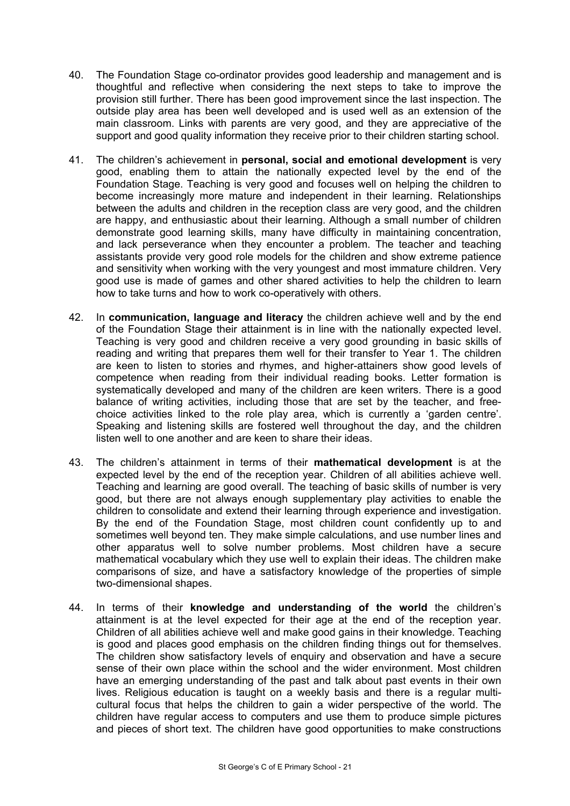- 40. The Foundation Stage co-ordinator provides good leadership and management and is thoughtful and reflective when considering the next steps to take to improve the provision still further. There has been good improvement since the last inspection. The outside play area has been well developed and is used well as an extension of the main classroom. Links with parents are very good, and they are appreciative of the support and good quality information they receive prior to their children starting school.
- 41. The children's achievement in **personal, social and emotional development** is very good, enabling them to attain the nationally expected level by the end of the Foundation Stage. Teaching is very good and focuses well on helping the children to become increasingly more mature and independent in their learning. Relationships between the adults and children in the reception class are very good, and the children are happy, and enthusiastic about their learning. Although a small number of children demonstrate good learning skills, many have difficulty in maintaining concentration, and lack perseverance when they encounter a problem. The teacher and teaching assistants provide very good role models for the children and show extreme patience and sensitivity when working with the very youngest and most immature children. Very good use is made of games and other shared activities to help the children to learn how to take turns and how to work co-operatively with others.
- 42. In **communication, language and literacy** the children achieve well and by the end of the Foundation Stage their attainment is in line with the nationally expected level. Teaching is very good and children receive a very good grounding in basic skills of reading and writing that prepares them well for their transfer to Year 1. The children are keen to listen to stories and rhymes, and higher-attainers show good levels of competence when reading from their individual reading books. Letter formation is systematically developed and many of the children are keen writers. There is a good balance of writing activities, including those that are set by the teacher, and freechoice activities linked to the role play area, which is currently a 'garden centre'. Speaking and listening skills are fostered well throughout the day, and the children listen well to one another and are keen to share their ideas.
- 43. The children's attainment in terms of their **mathematical development** is at the expected level by the end of the reception year. Children of all abilities achieve well. Teaching and learning are good overall. The teaching of basic skills of number is very good, but there are not always enough supplementary play activities to enable the children to consolidate and extend their learning through experience and investigation. By the end of the Foundation Stage, most children count confidently up to and sometimes well beyond ten. They make simple calculations, and use number lines and other apparatus well to solve number problems. Most children have a secure mathematical vocabulary which they use well to explain their ideas. The children make comparisons of size, and have a satisfactory knowledge of the properties of simple two-dimensional shapes.
- 44. In terms of their **knowledge and understanding of the world** the children's attainment is at the level expected for their age at the end of the reception year. Children of all abilities achieve well and make good gains in their knowledge. Teaching is good and places good emphasis on the children finding things out for themselves. The children show satisfactory levels of enquiry and observation and have a secure sense of their own place within the school and the wider environment. Most children have an emerging understanding of the past and talk about past events in their own lives. Religious education is taught on a weekly basis and there is a regular multicultural focus that helps the children to gain a wider perspective of the world. The children have regular access to computers and use them to produce simple pictures and pieces of short text. The children have good opportunities to make constructions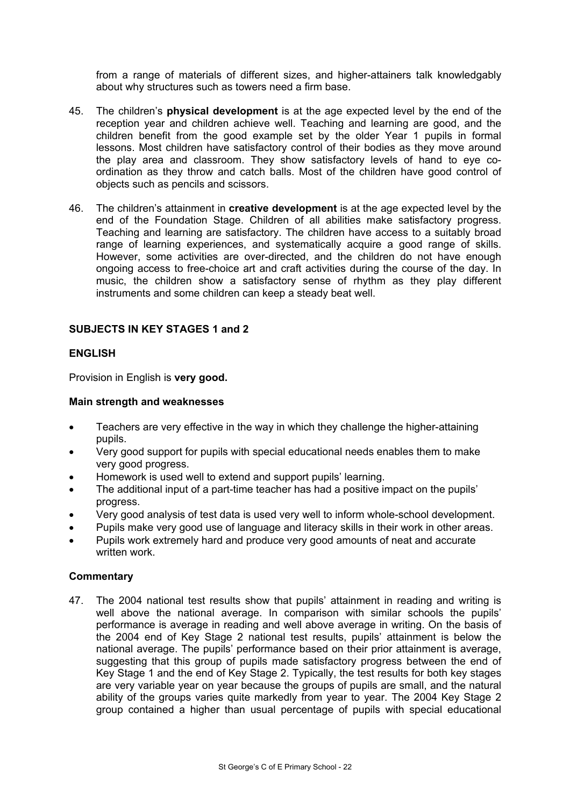from a range of materials of different sizes, and higher-attainers talk knowledgably about why structures such as towers need a firm base.

- 45. The children's **physical development** is at the age expected level by the end of the reception year and children achieve well. Teaching and learning are good, and the children benefit from the good example set by the older Year 1 pupils in formal lessons. Most children have satisfactory control of their bodies as they move around the play area and classroom. They show satisfactory levels of hand to eye coordination as they throw and catch balls. Most of the children have good control of objects such as pencils and scissors.
- 46. The children's attainment in **creative development** is at the age expected level by the end of the Foundation Stage. Children of all abilities make satisfactory progress. Teaching and learning are satisfactory. The children have access to a suitably broad range of learning experiences, and systematically acquire a good range of skills. However, some activities are over-directed, and the children do not have enough ongoing access to free-choice art and craft activities during the course of the day. In music, the children show a satisfactory sense of rhythm as they play different instruments and some children can keep a steady beat well.

#### **SUBJECTS IN KEY STAGES 1 and 2**

## **ENGLISH**

Provision in English is **very good.** 

#### **Main strength and weaknesses**

- Teachers are very effective in the way in which they challenge the higher-attaining pupils.
- Very good support for pupils with special educational needs enables them to make very good progress.
- Homework is used well to extend and support pupils' learning.
- The additional input of a part-time teacher has had a positive impact on the pupils' progress.
- Very good analysis of test data is used very well to inform whole-school development.
- Pupils make very good use of language and literacy skills in their work in other areas.
- Pupils work extremely hard and produce very good amounts of neat and accurate written work.

## **Commentary**

47. The 2004 national test results show that pupils' attainment in reading and writing is well above the national average. In comparison with similar schools the pupils' performance is average in reading and well above average in writing. On the basis of the 2004 end of Key Stage 2 national test results, pupils' attainment is below the national average. The pupils' performance based on their prior attainment is average, suggesting that this group of pupils made satisfactory progress between the end of Key Stage 1 and the end of Key Stage 2. Typically, the test results for both key stages are very variable year on year because the groups of pupils are small, and the natural ability of the groups varies quite markedly from year to year. The 2004 Key Stage 2 group contained a higher than usual percentage of pupils with special educational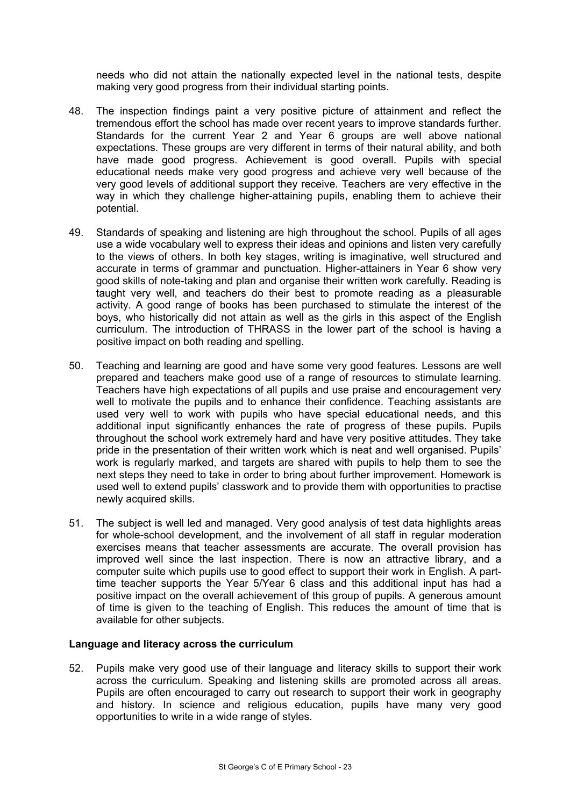needs who did not attain the nationally expected level in the national tests, despite making very good progress from their individual starting points.

- 48. The inspection findings paint a very positive picture of attainment and reflect the tremendous effort the school has made over recent years to improve standards further. Standards for the current Year 2 and Year 6 groups are well above national expectations. These groups are very different in terms of their natural ability, and both have made good progress. Achievement is good overall. Pupils with special educational needs make very good progress and achieve very well because of the very good levels of additional support they receive. Teachers are very effective in the way in which they challenge higher-attaining pupils, enabling them to achieve their potential.
- 49. Standards of speaking and listening are high throughout the school. Pupils of all ages use a wide vocabulary well to express their ideas and opinions and listen very carefully to the views of others. In both key stages, writing is imaginative, well structured and accurate in terms of grammar and punctuation. Higher-attainers in Year 6 show very good skills of note-taking and plan and organise their written work carefully. Reading is taught very well, and teachers do their best to promote reading as a pleasurable activity. A good range of books has been purchased to stimulate the interest of the boys, who historically did not attain as well as the girls in this aspect of the English curriculum. The introduction of THRASS in the lower part of the school is having a positive impact on both reading and spelling.
- 50. Teaching and learning are good and have some very good features. Lessons are well prepared and teachers make good use of a range of resources to stimulate learning. Teachers have high expectations of all pupils and use praise and encouragement very well to motivate the pupils and to enhance their confidence. Teaching assistants are used very well to work with pupils who have special educational needs, and this additional input significantly enhances the rate of progress of these pupils. Pupils throughout the school work extremely hard and have very positive attitudes. They take pride in the presentation of their written work which is neat and well organised. Pupils' work is regularly marked, and targets are shared with pupils to help them to see the next steps they need to take in order to bring about further improvement. Homework is used well to extend pupils' classwork and to provide them with opportunities to practise newly acquired skills.
- 51. The subject is well led and managed. Very good analysis of test data highlights areas for whole-school development, and the involvement of all staff in regular moderation exercises means that teacher assessments are accurate. The overall provision has improved well since the last inspection. There is now an attractive library, and a computer suite which pupils use to good effect to support their work in English. A parttime teacher supports the Year 5/Year 6 class and this additional input has had a positive impact on the overall achievement of this group of pupils. A generous amount of time is given to the teaching of English. This reduces the amount of time that is available for other subjects.

#### **Language and literacy across the curriculum**

52. Pupils make very good use of their language and literacy skills to support their work across the curriculum. Speaking and listening skills are promoted across all areas. Pupils are often encouraged to carry out research to support their work in geography and history. In science and religious education, pupils have many very good opportunities to write in a wide range of styles.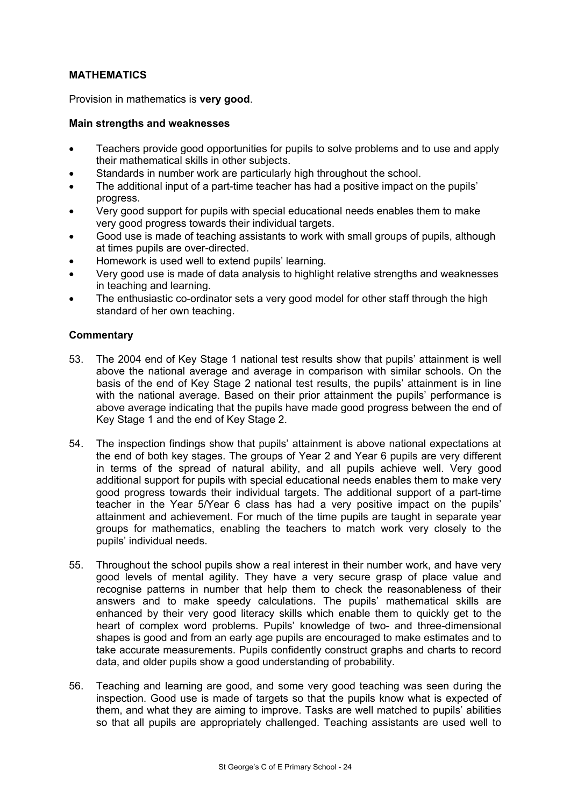## **MATHEMATICS**

Provision in mathematics is **very good**.

#### **Main strengths and weaknesses**

- Teachers provide good opportunities for pupils to solve problems and to use and apply their mathematical skills in other subjects.
- Standards in number work are particularly high throughout the school.
- The additional input of a part-time teacher has had a positive impact on the pupils' progress.
- Very good support for pupils with special educational needs enables them to make very good progress towards their individual targets.
- Good use is made of teaching assistants to work with small groups of pupils, although at times pupils are over-directed.
- Homework is used well to extend pupils' learning.
- Very good use is made of data analysis to highlight relative strengths and weaknesses in teaching and learning.
- The enthusiastic co-ordinator sets a very good model for other staff through the high standard of her own teaching.

- 53. The 2004 end of Key Stage 1 national test results show that pupils' attainment is well above the national average and average in comparison with similar schools. On the basis of the end of Key Stage 2 national test results, the pupils' attainment is in line with the national average. Based on their prior attainment the pupils' performance is above average indicating that the pupils have made good progress between the end of Key Stage 1 and the end of Key Stage 2.
- 54. The inspection findings show that pupils' attainment is above national expectations at the end of both key stages. The groups of Year 2 and Year 6 pupils are very different in terms of the spread of natural ability, and all pupils achieve well. Very good additional support for pupils with special educational needs enables them to make very good progress towards their individual targets. The additional support of a part-time teacher in the Year 5/Year 6 class has had a very positive impact on the pupils' attainment and achievement. For much of the time pupils are taught in separate year groups for mathematics, enabling the teachers to match work very closely to the pupils' individual needs.
- 55. Throughout the school pupils show a real interest in their number work, and have very good levels of mental agility. They have a very secure grasp of place value and recognise patterns in number that help them to check the reasonableness of their answers and to make speedy calculations. The pupils' mathematical skills are enhanced by their very good literacy skills which enable them to quickly get to the heart of complex word problems. Pupils' knowledge of two- and three-dimensional shapes is good and from an early age pupils are encouraged to make estimates and to take accurate measurements. Pupils confidently construct graphs and charts to record data, and older pupils show a good understanding of probability.
- 56. Teaching and learning are good, and some very good teaching was seen during the inspection. Good use is made of targets so that the pupils know what is expected of them, and what they are aiming to improve. Tasks are well matched to pupils' abilities so that all pupils are appropriately challenged. Teaching assistants are used well to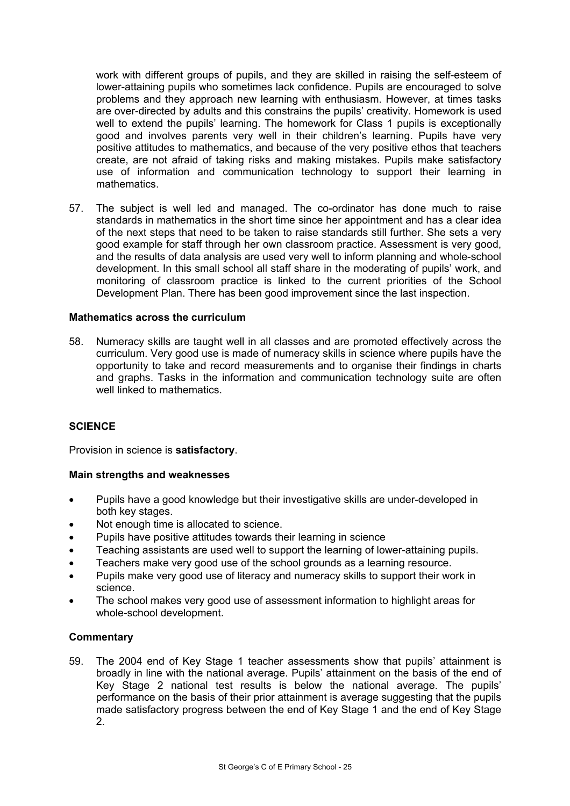work with different groups of pupils, and they are skilled in raising the self-esteem of lower-attaining pupils who sometimes lack confidence. Pupils are encouraged to solve problems and they approach new learning with enthusiasm. However, at times tasks are over-directed by adults and this constrains the pupils' creativity. Homework is used well to extend the pupils' learning. The homework for Class 1 pupils is exceptionally good and involves parents very well in their children's learning. Pupils have very positive attitudes to mathematics, and because of the very positive ethos that teachers create, are not afraid of taking risks and making mistakes. Pupils make satisfactory use of information and communication technology to support their learning in mathematics.

57. The subject is well led and managed. The co-ordinator has done much to raise standards in mathematics in the short time since her appointment and has a clear idea of the next steps that need to be taken to raise standards still further. She sets a very good example for staff through her own classroom practice. Assessment is very good, and the results of data analysis are used very well to inform planning and whole-school development. In this small school all staff share in the moderating of pupils' work, and monitoring of classroom practice is linked to the current priorities of the School Development Plan. There has been good improvement since the last inspection.

#### **Mathematics across the curriculum**

58. Numeracy skills are taught well in all classes and are promoted effectively across the curriculum. Very good use is made of numeracy skills in science where pupils have the opportunity to take and record measurements and to organise their findings in charts and graphs. Tasks in the information and communication technology suite are often well linked to mathematics.

## **SCIENCE**

Provision in science is **satisfactory**.

#### **Main strengths and weaknesses**

- Pupils have a good knowledge but their investigative skills are under-developed in both key stages.
- Not enough time is allocated to science.
- Pupils have positive attitudes towards their learning in science
- Teaching assistants are used well to support the learning of lower-attaining pupils.
- Teachers make very good use of the school grounds as a learning resource.
- Pupils make very good use of literacy and numeracy skills to support their work in science.
- The school makes very good use of assessment information to highlight areas for whole-school development.

#### **Commentary**

59. The 2004 end of Key Stage 1 teacher assessments show that pupils' attainment is broadly in line with the national average. Pupils' attainment on the basis of the end of Key Stage 2 national test results is below the national average. The pupils' performance on the basis of their prior attainment is average suggesting that the pupils made satisfactory progress between the end of Key Stage 1 and the end of Key Stage 2.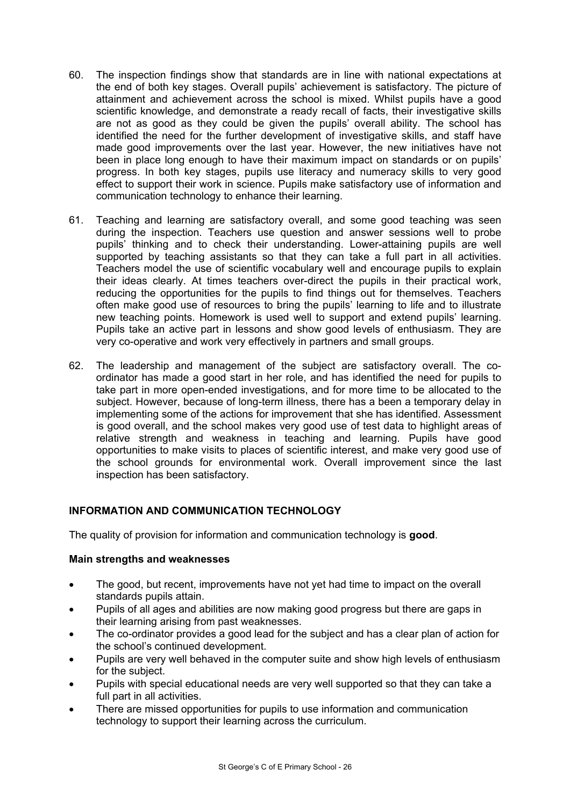- 60. The inspection findings show that standards are in line with national expectations at the end of both key stages. Overall pupils' achievement is satisfactory. The picture of attainment and achievement across the school is mixed. Whilst pupils have a good scientific knowledge, and demonstrate a ready recall of facts, their investigative skills are not as good as they could be given the pupils' overall ability. The school has identified the need for the further development of investigative skills, and staff have made good improvements over the last year. However, the new initiatives have not been in place long enough to have their maximum impact on standards or on pupils' progress. In both key stages, pupils use literacy and numeracy skills to very good effect to support their work in science. Pupils make satisfactory use of information and communication technology to enhance their learning.
- 61. Teaching and learning are satisfactory overall, and some good teaching was seen during the inspection. Teachers use question and answer sessions well to probe pupils' thinking and to check their understanding. Lower-attaining pupils are well supported by teaching assistants so that they can take a full part in all activities. Teachers model the use of scientific vocabulary well and encourage pupils to explain their ideas clearly. At times teachers over-direct the pupils in their practical work, reducing the opportunities for the pupils to find things out for themselves. Teachers often make good use of resources to bring the pupils' learning to life and to illustrate new teaching points. Homework is used well to support and extend pupils' learning. Pupils take an active part in lessons and show good levels of enthusiasm. They are very co-operative and work very effectively in partners and small groups.
- 62. The leadership and management of the subject are satisfactory overall. The coordinator has made a good start in her role, and has identified the need for pupils to take part in more open-ended investigations, and for more time to be allocated to the subject. However, because of long-term illness, there has a been a temporary delay in implementing some of the actions for improvement that she has identified. Assessment is good overall, and the school makes very good use of test data to highlight areas of relative strength and weakness in teaching and learning. Pupils have good opportunities to make visits to places of scientific interest, and make very good use of the school grounds for environmental work. Overall improvement since the last inspection has been satisfactory.

## **INFORMATION AND COMMUNICATION TECHNOLOGY**

The quality of provision for information and communication technology is **good**.

#### **Main strengths and weaknesses**

- The good, but recent, improvements have not yet had time to impact on the overall standards pupils attain.
- Pupils of all ages and abilities are now making good progress but there are gaps in their learning arising from past weaknesses.
- The co-ordinator provides a good lead for the subject and has a clear plan of action for the school's continued development.
- Pupils are very well behaved in the computer suite and show high levels of enthusiasm for the subject.
- Pupils with special educational needs are very well supported so that they can take a full part in all activities.
- There are missed opportunities for pupils to use information and communication technology to support their learning across the curriculum.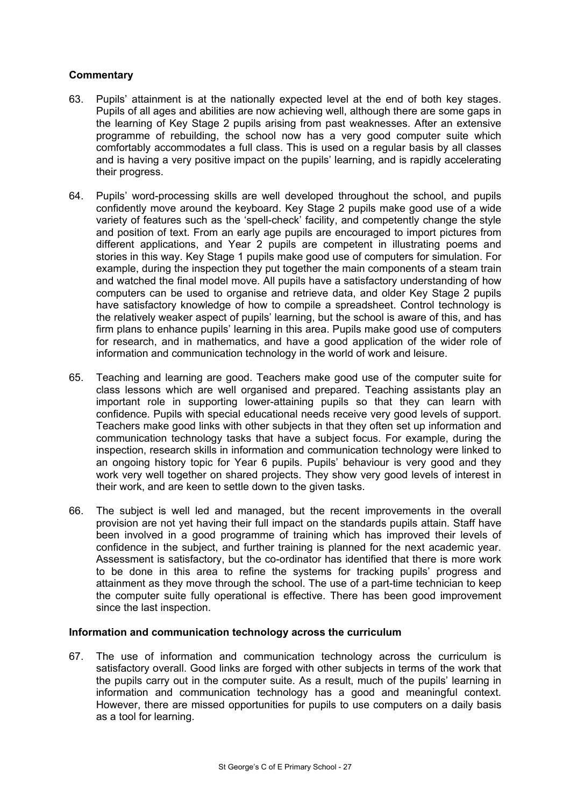## **Commentary**

- 63. Pupils' attainment is at the nationally expected level at the end of both key stages. Pupils of all ages and abilities are now achieving well, although there are some gaps in the learning of Key Stage 2 pupils arising from past weaknesses. After an extensive programme of rebuilding, the school now has a very good computer suite which comfortably accommodates a full class. This is used on a regular basis by all classes and is having a very positive impact on the pupils' learning, and is rapidly accelerating their progress.
- 64. Pupils' word-processing skills are well developed throughout the school, and pupils confidently move around the keyboard. Key Stage 2 pupils make good use of a wide variety of features such as the 'spell-check' facility, and competently change the style and position of text. From an early age pupils are encouraged to import pictures from different applications, and Year 2 pupils are competent in illustrating poems and stories in this way. Key Stage 1 pupils make good use of computers for simulation. For example, during the inspection they put together the main components of a steam train and watched the final model move. All pupils have a satisfactory understanding of how computers can be used to organise and retrieve data, and older Key Stage 2 pupils have satisfactory knowledge of how to compile a spreadsheet. Control technology is the relatively weaker aspect of pupils' learning, but the school is aware of this, and has firm plans to enhance pupils' learning in this area. Pupils make good use of computers for research, and in mathematics, and have a good application of the wider role of information and communication technology in the world of work and leisure.
- 65. Teaching and learning are good. Teachers make good use of the computer suite for class lessons which are well organised and prepared. Teaching assistants play an important role in supporting lower-attaining pupils so that they can learn with confidence. Pupils with special educational needs receive very good levels of support. Teachers make good links with other subjects in that they often set up information and communication technology tasks that have a subject focus. For example, during the inspection, research skills in information and communication technology were linked to an ongoing history topic for Year 6 pupils. Pupils' behaviour is very good and they work very well together on shared projects. They show very good levels of interest in their work, and are keen to settle down to the given tasks.
- 66. The subject is well led and managed, but the recent improvements in the overall provision are not yet having their full impact on the standards pupils attain. Staff have been involved in a good programme of training which has improved their levels of confidence in the subject, and further training is planned for the next academic year. Assessment is satisfactory, but the co-ordinator has identified that there is more work to be done in this area to refine the systems for tracking pupils' progress and attainment as they move through the school. The use of a part-time technician to keep the computer suite fully operational is effective. There has been good improvement since the last inspection.

#### **Information and communication technology across the curriculum**

67. The use of information and communication technology across the curriculum is satisfactory overall. Good links are forged with other subjects in terms of the work that the pupils carry out in the computer suite. As a result, much of the pupils' learning in information and communication technology has a good and meaningful context. However, there are missed opportunities for pupils to use computers on a daily basis as a tool for learning.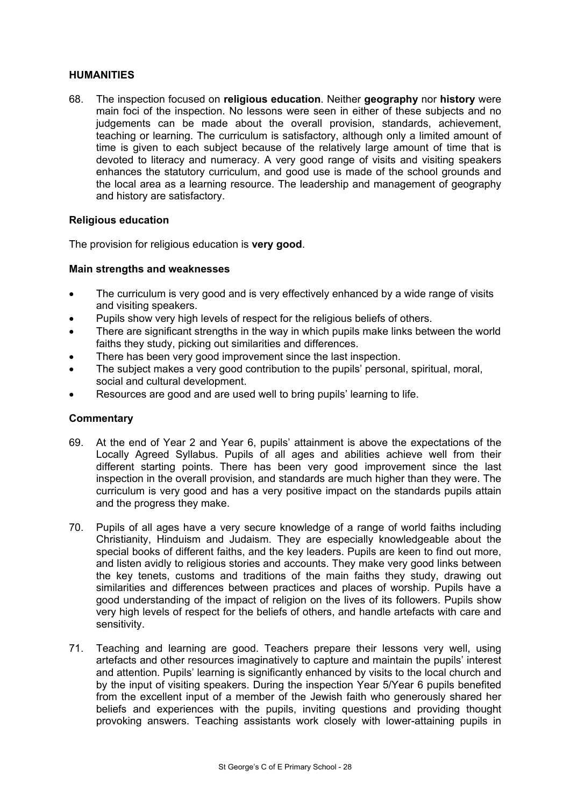#### **HUMANITIES**

68. The inspection focused on **religious education**. Neither **geography** nor **history** were main foci of the inspection. No lessons were seen in either of these subjects and no judgements can be made about the overall provision, standards, achievement, teaching or learning. The curriculum is satisfactory, although only a limited amount of time is given to each subject because of the relatively large amount of time that is devoted to literacy and numeracy. A very good range of visits and visiting speakers enhances the statutory curriculum, and good use is made of the school grounds and the local area as a learning resource. The leadership and management of geography and history are satisfactory.

#### **Religious education**

The provision for religious education is **very good**.

#### **Main strengths and weaknesses**

- The curriculum is very good and is very effectively enhanced by a wide range of visits and visiting speakers.
- Pupils show very high levels of respect for the religious beliefs of others.
- There are significant strengths in the way in which pupils make links between the world faiths they study, picking out similarities and differences.
- There has been very good improvement since the last inspection.
- The subject makes a very good contribution to the pupils' personal, spiritual, moral, social and cultural development.
- Resources are good and are used well to bring pupils' learning to life.

- 69. At the end of Year 2 and Year 6, pupils' attainment is above the expectations of the Locally Agreed Syllabus. Pupils of all ages and abilities achieve well from their different starting points. There has been very good improvement since the last inspection in the overall provision, and standards are much higher than they were. The curriculum is very good and has a very positive impact on the standards pupils attain and the progress they make.
- 70. Pupils of all ages have a very secure knowledge of a range of world faiths including Christianity, Hinduism and Judaism. They are especially knowledgeable about the special books of different faiths, and the key leaders. Pupils are keen to find out more, and listen avidly to religious stories and accounts. They make very good links between the key tenets, customs and traditions of the main faiths they study, drawing out similarities and differences between practices and places of worship. Pupils have a good understanding of the impact of religion on the lives of its followers. Pupils show very high levels of respect for the beliefs of others, and handle artefacts with care and sensitivity.
- 71. Teaching and learning are good. Teachers prepare their lessons very well, using artefacts and other resources imaginatively to capture and maintain the pupils' interest and attention. Pupils' learning is significantly enhanced by visits to the local church and by the input of visiting speakers. During the inspection Year 5/Year 6 pupils benefited from the excellent input of a member of the Jewish faith who generously shared her beliefs and experiences with the pupils, inviting questions and providing thought provoking answers. Teaching assistants work closely with lower-attaining pupils in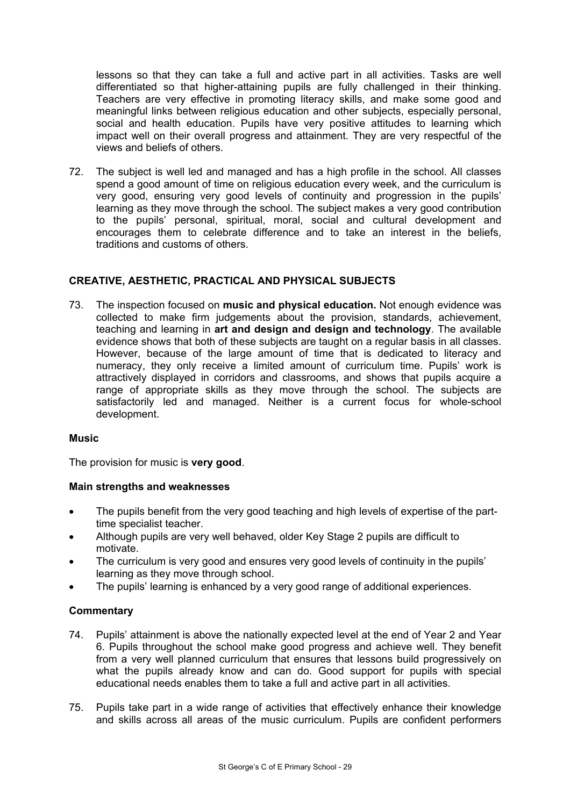lessons so that they can take a full and active part in all activities. Tasks are well differentiated so that higher-attaining pupils are fully challenged in their thinking. Teachers are very effective in promoting literacy skills, and make some good and meaningful links between religious education and other subjects, especially personal, social and health education. Pupils have very positive attitudes to learning which impact well on their overall progress and attainment. They are very respectful of the views and beliefs of others.

72. The subject is well led and managed and has a high profile in the school. All classes spend a good amount of time on religious education every week, and the curriculum is very good, ensuring very good levels of continuity and progression in the pupils' learning as they move through the school. The subject makes a very good contribution to the pupils' personal, spiritual, moral, social and cultural development and encourages them to celebrate difference and to take an interest in the beliefs, traditions and customs of others.

## **CREATIVE, AESTHETIC, PRACTICAL AND PHYSICAL SUBJECTS**

73. The inspection focused on **music and physical education.** Not enough evidence was collected to make firm judgements about the provision, standards, achievement, teaching and learning in **art and design and design and technology**. The available evidence shows that both of these subjects are taught on a regular basis in all classes. However, because of the large amount of time that is dedicated to literacy and numeracy, they only receive a limited amount of curriculum time. Pupils' work is attractively displayed in corridors and classrooms, and shows that pupils acquire a range of appropriate skills as they move through the school. The subjects are satisfactorily led and managed. Neither is a current focus for whole-school development.

#### **Music**

The provision for music is **very good**.

#### **Main strengths and weaknesses**

- The pupils benefit from the very good teaching and high levels of expertise of the parttime specialist teacher.
- Although pupils are very well behaved, older Key Stage 2 pupils are difficult to motivate.
- The curriculum is very good and ensures very good levels of continuity in the pupils' learning as they move through school.
- The pupils' learning is enhanced by a very good range of additional experiences.

- 74. Pupils' attainment is above the nationally expected level at the end of Year 2 and Year 6. Pupils throughout the school make good progress and achieve well. They benefit from a very well planned curriculum that ensures that lessons build progressively on what the pupils already know and can do. Good support for pupils with special educational needs enables them to take a full and active part in all activities.
- 75. Pupils take part in a wide range of activities that effectively enhance their knowledge and skills across all areas of the music curriculum. Pupils are confident performers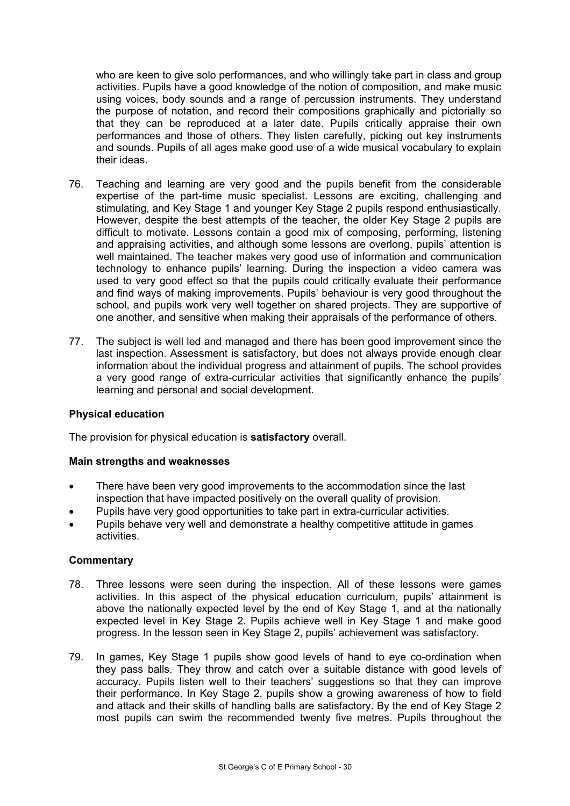who are keen to give solo performances, and who willingly take part in class and group activities. Pupils have a good knowledge of the notion of composition, and make music using voices, body sounds and a range of percussion instruments. They understand the purpose of notation, and record their compositions graphically and pictorially so that they can be reproduced at a later date. Pupils critically appraise their own performances and those of others. They listen carefully, picking out key instruments and sounds. Pupils of all ages make good use of a wide musical vocabulary to explain their ideas.

- 76. Teaching and learning are very good and the pupils benefit from the considerable expertise of the part-time music specialist. Lessons are exciting, challenging and stimulating, and Key Stage 1 and younger Key Stage 2 pupils respond enthusiastically. However, despite the best attempts of the teacher, the older Key Stage 2 pupils are difficult to motivate. Lessons contain a good mix of composing, performing, listening and appraising activities, and although some lessons are overlong, pupils' attention is well maintained. The teacher makes very good use of information and communication technology to enhance pupils' learning. During the inspection a video camera was used to very good effect so that the pupils could critically evaluate their performance and find ways of making improvements. Pupils' behaviour is very good throughout the school, and pupils work very well together on shared projects. They are supportive of one another, and sensitive when making their appraisals of the performance of others.
- 77. The subject is well led and managed and there has been good improvement since the last inspection. Assessment is satisfactory, but does not always provide enough clear information about the individual progress and attainment of pupils. The school provides a very good range of extra-curricular activities that significantly enhance the pupils' learning and personal and social development.

#### **Physical education**

The provision for physical education is **satisfactory** overall.

#### **Main strengths and weaknesses**

- There have been very good improvements to the accommodation since the last inspection that have impacted positively on the overall quality of provision.
- Pupils have very good opportunities to take part in extra-curricular activities.
- Pupils behave very well and demonstrate a healthy competitive attitude in games activities.

- 78. Three lessons were seen during the inspection. All of these lessons were games activities. In this aspect of the physical education curriculum, pupils' attainment is above the nationally expected level by the end of Key Stage 1, and at the nationally expected level in Key Stage 2. Pupils achieve well in Key Stage 1 and make good progress. In the lesson seen in Key Stage 2, pupils' achievement was satisfactory.
- 79. In games, Key Stage 1 pupils show good levels of hand to eye co-ordination when they pass balls. They throw and catch over a suitable distance with good levels of accuracy. Pupils listen well to their teachers' suggestions so that they can improve their performance. In Key Stage 2, pupils show a growing awareness of how to field and attack and their skills of handling balls are satisfactory. By the end of Key Stage 2 most pupils can swim the recommended twenty five metres. Pupils throughout the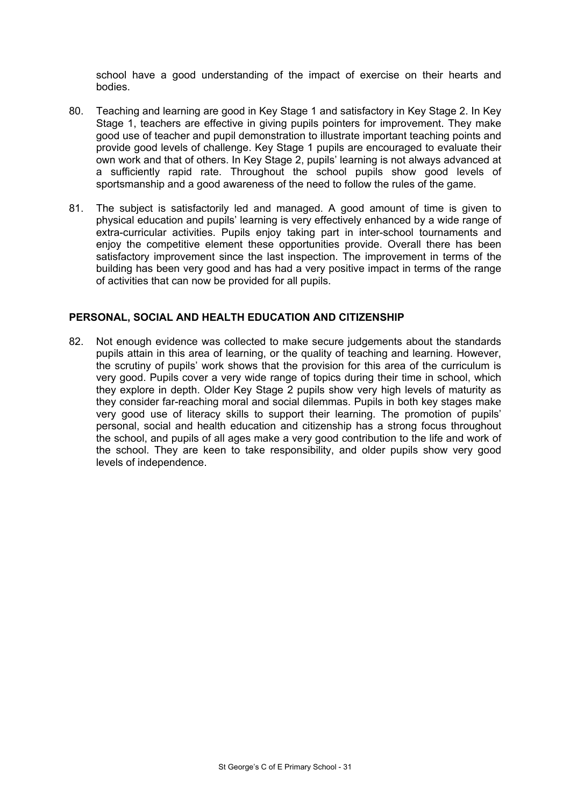school have a good understanding of the impact of exercise on their hearts and bodies.

- 80. Teaching and learning are good in Key Stage 1 and satisfactory in Key Stage 2. In Key Stage 1, teachers are effective in giving pupils pointers for improvement. They make good use of teacher and pupil demonstration to illustrate important teaching points and provide good levels of challenge. Key Stage 1 pupils are encouraged to evaluate their own work and that of others. In Key Stage 2, pupils' learning is not always advanced at a sufficiently rapid rate. Throughout the school pupils show good levels of sportsmanship and a good awareness of the need to follow the rules of the game.
- 81. The subject is satisfactorily led and managed. A good amount of time is given to physical education and pupils' learning is very effectively enhanced by a wide range of extra-curricular activities. Pupils enjoy taking part in inter-school tournaments and enjoy the competitive element these opportunities provide. Overall there has been satisfactory improvement since the last inspection. The improvement in terms of the building has been very good and has had a very positive impact in terms of the range of activities that can now be provided for all pupils.

#### **PERSONAL, SOCIAL AND HEALTH EDUCATION AND CITIZENSHIP**

82. Not enough evidence was collected to make secure judgements about the standards pupils attain in this area of learning, or the quality of teaching and learning. However, the scrutiny of pupils' work shows that the provision for this area of the curriculum is very good. Pupils cover a very wide range of topics during their time in school, which they explore in depth. Older Key Stage 2 pupils show very high levels of maturity as they consider far-reaching moral and social dilemmas. Pupils in both key stages make very good use of literacy skills to support their learning. The promotion of pupils' personal, social and health education and citizenship has a strong focus throughout the school, and pupils of all ages make a very good contribution to the life and work of the school. They are keen to take responsibility, and older pupils show very good levels of independence.